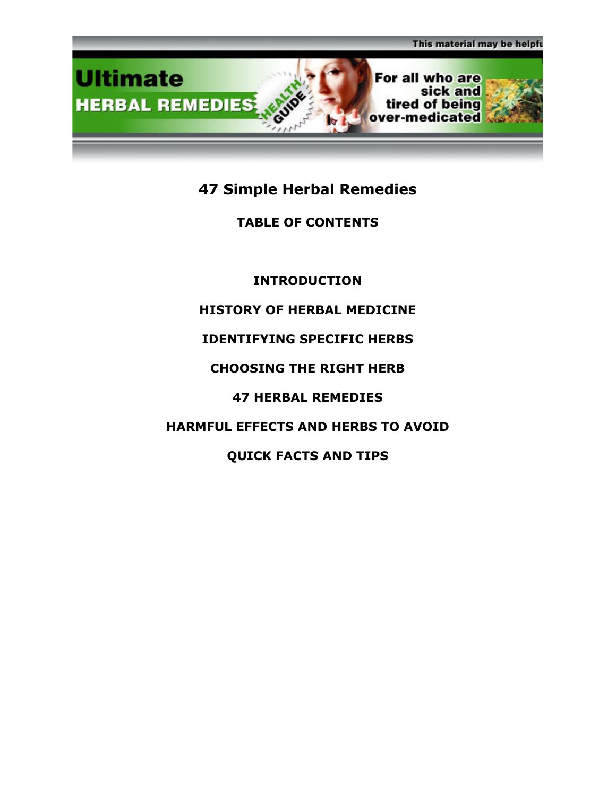

# 47 Simple Herbal Remedies

# TABLE OF CONTENTS

INTRODUCTION

# HISTORY OF HERBAL MEDICINE

# IDENTIFYING SPECIFIC HERBS

# CHOOSING THE RIGHT HERB

# 47 HERBAL REMEDIES

# HARMFUL EFFECTS AND HERBS TO AVOID

# QUICK FACTS AND TIPS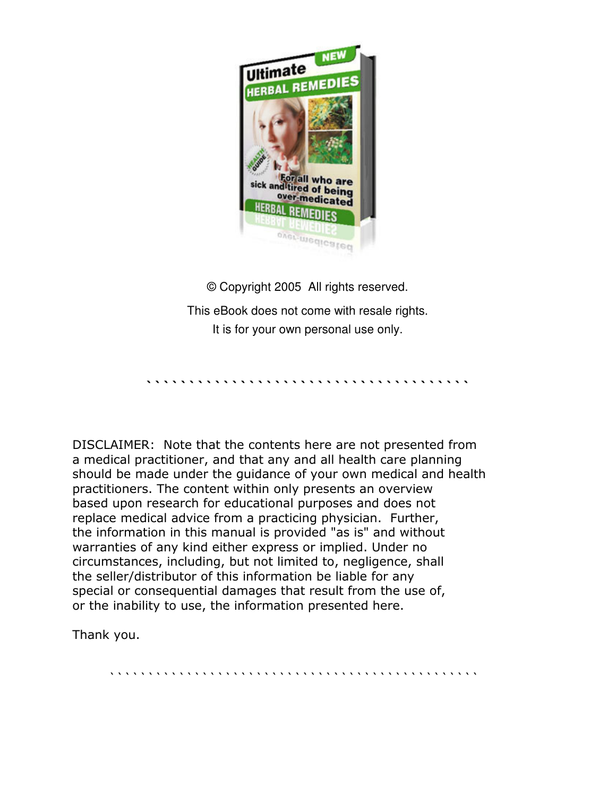

© Copyright 2005 All rights reserved. This eBook does not come with resale rights. It is for your own personal use only.

``````````````````````````````````````

DISCLAIMER: Note that the contents here are not presented from a medical practitioner, and that any and all health care planning should be made under the guidance of your own medical and health practitioners. The content within only presents an overview based upon research for educational purposes and does not replace medical advice from a practicing physician. Further, the information in this manual is provided "as is" and without warranties of any kind either express or implied. Under no circumstances, including, but not limited to, negligence, shall the seller/distributor of this information be liable for any special or consequential damages that result from the use of, or the inability to use, the information presented here.

Thank you.

````````````````````````````````````````````````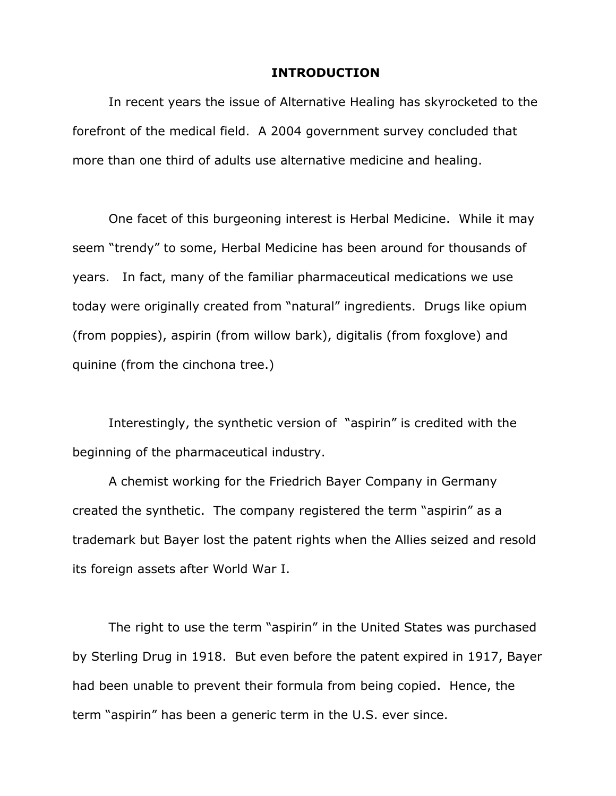#### INTRODUCTION

In recent years the issue of Alternative Healing has skyrocketed to the forefront of the medical field. A 2004 government survey concluded that more than one third of adults use alternative medicine and healing.

One facet of this burgeoning interest is Herbal Medicine. While it may seem "trendy" to some, Herbal Medicine has been around for thousands of years. In fact, many of the familiar pharmaceutical medications we use today were originally created from "natural" ingredients. Drugs like opium (from poppies), aspirin (from willow bark), digitalis (from foxglove) and quinine (from the cinchona tree.)

Interestingly, the synthetic version of "aspirin" is credited with the beginning of the pharmaceutical industry.

A chemist working for the Friedrich Bayer Company in Germany created the synthetic. The company registered the term "aspirin" as a trademark but Bayer lost the patent rights when the Allies seized and resold its foreign assets after World War I.

The right to use the term "aspirin" in the United States was purchased by Sterling Drug in 1918. But even before the patent expired in 1917, Bayer had been unable to prevent their formula from being copied. Hence, the term "aspirin" has been a generic term in the U.S. ever since.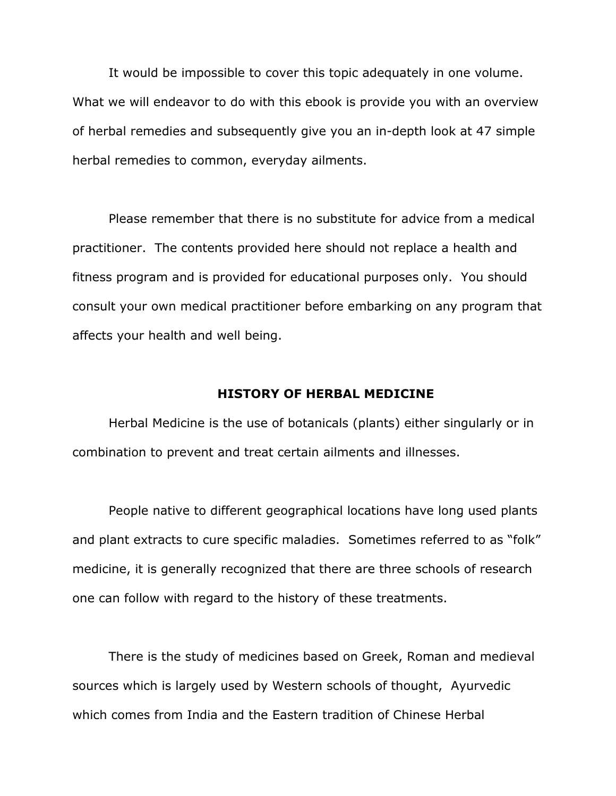It would be impossible to cover this topic adequately in one volume. What we will endeavor to do with this ebook is provide you with an overview of herbal remedies and subsequently give you an in-depth look at 47 simple herbal remedies to common, everyday ailments.

Please remember that there is no substitute for advice from a medical practitioner. The contents provided here should not replace a health and fitness program and is provided for educational purposes only. You should consult your own medical practitioner before embarking on any program that affects your health and well being.

#### HISTORY OF HERBAL MEDICINE

Herbal Medicine is the use of botanicals (plants) either singularly or in combination to prevent and treat certain ailments and illnesses.

People native to different geographical locations have long used plants and plant extracts to cure specific maladies. Sometimes referred to as "folk" medicine, it is generally recognized that there are three schools of research one can follow with regard to the history of these treatments.

There is the study of medicines based on Greek, Roman and medieval sources which is largely used by Western schools of thought, Ayurvedic which comes from India and the Eastern tradition of Chinese Herbal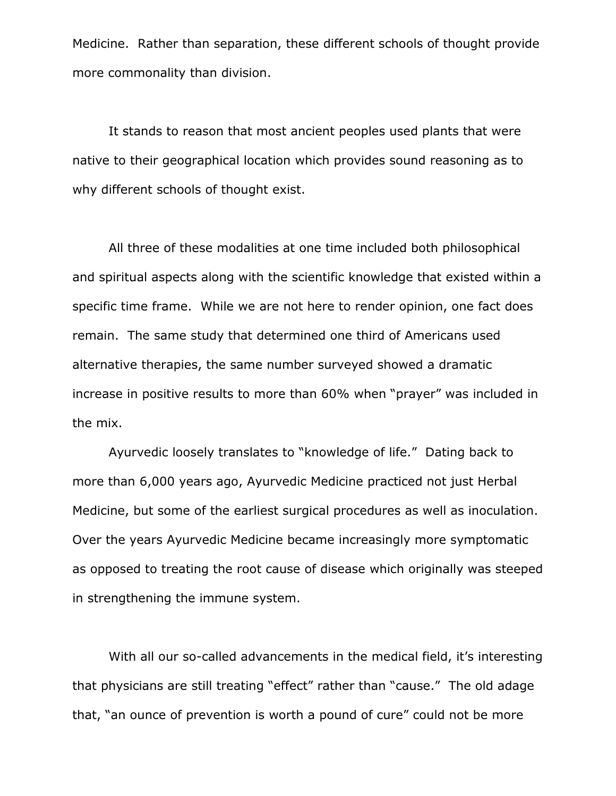Medicine. Rather than separation, these different schools of thought provide more commonality than division.

It stands to reason that most ancient peoples used plants that were native to their geographical location which provides sound reasoning as to why different schools of thought exist.

All three of these modalities at one time included both philosophical and spiritual aspects along with the scientific knowledge that existed within a specific time frame. While we are not here to render opinion, one fact does remain. The same study that determined one third of Americans used alternative therapies, the same number surveyed showed a dramatic increase in positive results to more than 60% when "prayer" was included in the mix.

Ayurvedic loosely translates to "knowledge of life." Dating back to more than 6,000 years ago, Ayurvedic Medicine practiced not just Herbal Medicine, but some of the earliest surgical procedures as well as inoculation. Over the years Ayurvedic Medicine became increasingly more symptomatic as opposed to treating the root cause of disease which originally was steeped in strengthening the immune system.

With all our so-called advancements in the medical field, it's interesting that physicians are still treating "effect" rather than "cause." The old adage that, "an ounce of prevention is worth a pound of cure" could not be more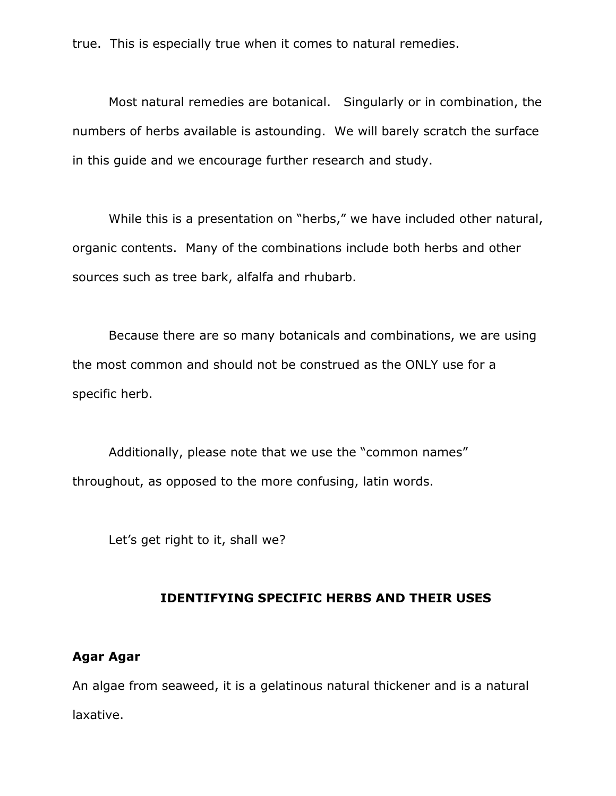true. This is especially true when it comes to natural remedies.

Most natural remedies are botanical. Singularly or in combination, the numbers of herbs available is astounding. We will barely scratch the surface in this guide and we encourage further research and study.

While this is a presentation on "herbs," we have included other natural, organic contents. Many of the combinations include both herbs and other sources such as tree bark, alfalfa and rhubarb.

Because there are so many botanicals and combinations, we are using the most common and should not be construed as the ONLY use for a specific herb.

Additionally, please note that we use the "common names" throughout, as opposed to the more confusing, latin words.

Let's get right to it, shall we?

#### IDENTIFYING SPECIFIC HERBS AND THEIR USES

#### Agar Agar

An algae from seaweed, it is a gelatinous natural thickener and is a natural laxative.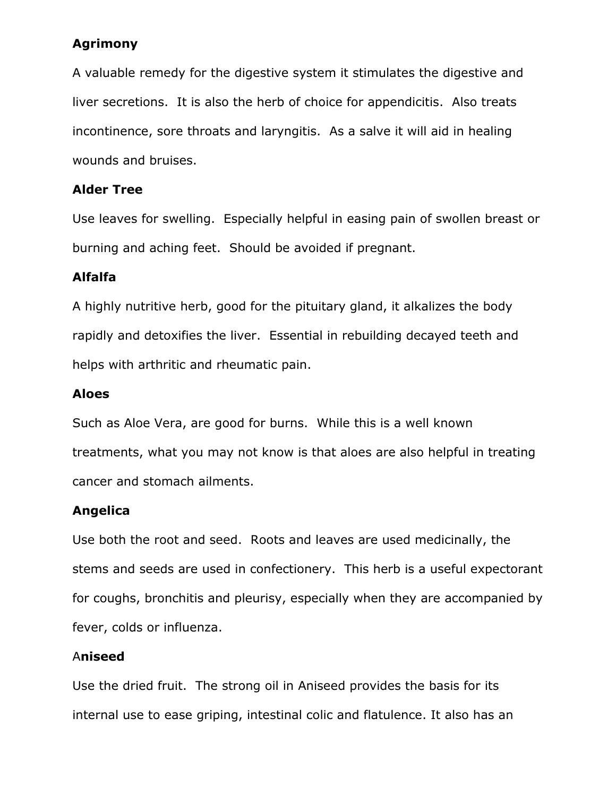## Agrimony

A valuable remedy for the digestive system it stimulates the digestive and liver secretions. It is also the herb of choice for appendicitis. Also treats incontinence, sore throats and laryngitis. As a salve it will aid in healing wounds and bruises.

## Alder Tree

Use leaves for swelling. Especially helpful in easing pain of swollen breast or burning and aching feet. Should be avoided if pregnant.

## Alfalfa

A highly nutritive herb, good for the pituitary gland, it alkalizes the body rapidly and detoxifies the liver. Essential in rebuilding decayed teeth and helps with arthritic and rheumatic pain.

## Aloes

Such as Aloe Vera, are good for burns. While this is a well known treatments, what you may not know is that aloes are also helpful in treating cancer and stomach ailments.

## Angelica

Use both the root and seed. Roots and leaves are used medicinally, the stems and seeds are used in confectionery. This herb is a useful expectorant for coughs, bronchitis and pleurisy, especially when they are accompanied by fever, colds or influenza.

## Aniseed

Use the dried fruit. The strong oil in Aniseed provides the basis for its internal use to ease griping, intestinal colic and flatulence. It also has an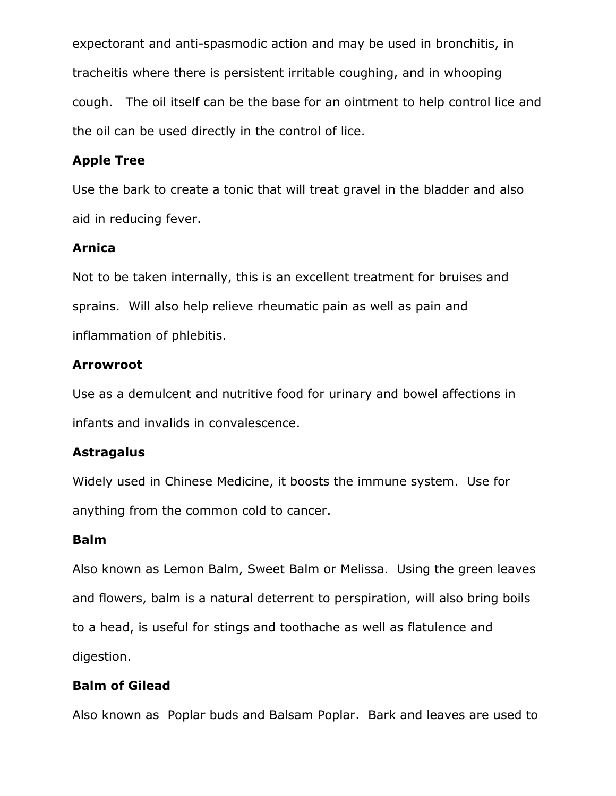expectorant and anti-spasmodic action and may be used in bronchitis, in tracheitis where there is persistent irritable coughing, and in whooping cough. The oil itself can be the base for an ointment to help control lice and the oil can be used directly in the control of lice.

## Apple Tree

Use the bark to create a tonic that will treat gravel in the bladder and also aid in reducing fever.

## Arnica

Not to be taken internally, this is an excellent treatment for bruises and sprains. Will also help relieve rheumatic pain as well as pain and inflammation of phlebitis.

## Arrowroot

Use as a demulcent and nutritive food for urinary and bowel affections in infants and invalids in convalescence.

## **Astragalus**

Widely used in Chinese Medicine, it boosts the immune system. Use for anything from the common cold to cancer.

## Balm

Also known as Lemon Balm, Sweet Balm or Melissa. Using the green leaves and flowers, balm is a natural deterrent to perspiration, will also bring boils to a head, is useful for stings and toothache as well as flatulence and digestion.

## Balm of Gilead

Also known as Poplar buds and Balsam Poplar. Bark and leaves are used to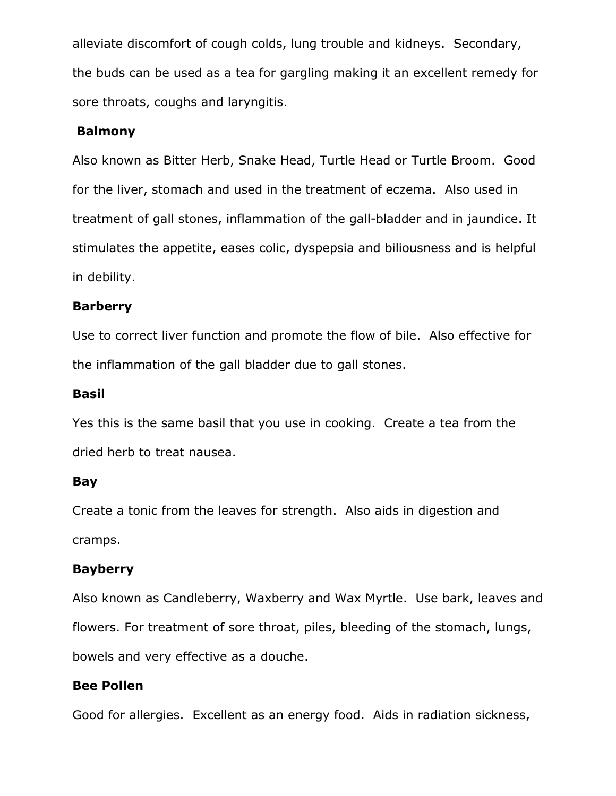alleviate discomfort of cough colds, lung trouble and kidneys. Secondary, the buds can be used as a tea for gargling making it an excellent remedy for sore throats, coughs and laryngitis.

### Balmony

Also known as Bitter Herb, Snake Head, Turtle Head or Turtle Broom. Good for the liver, stomach and used in the treatment of eczema. Also used in treatment of gall stones, inflammation of the gall-bladder and in jaundice. It stimulates the appetite, eases colic, dyspepsia and biliousness and is helpful in debility.

### Barberry

Use to correct liver function and promote the flow of bile. Also effective for the inflammation of the gall bladder due to gall stones.

#### Basil

Yes this is the same basil that you use in cooking. Create a tea from the dried herb to treat nausea.

#### Bay

Create a tonic from the leaves for strength. Also aids in digestion and cramps.

#### Bayberry

Also known as Candleberry, Waxberry and Wax Myrtle. Use bark, leaves and flowers. For treatment of sore throat, piles, bleeding of the stomach, lungs, bowels and very effective as a douche.

#### Bee Pollen

Good for allergies. Excellent as an energy food. Aids in radiation sickness,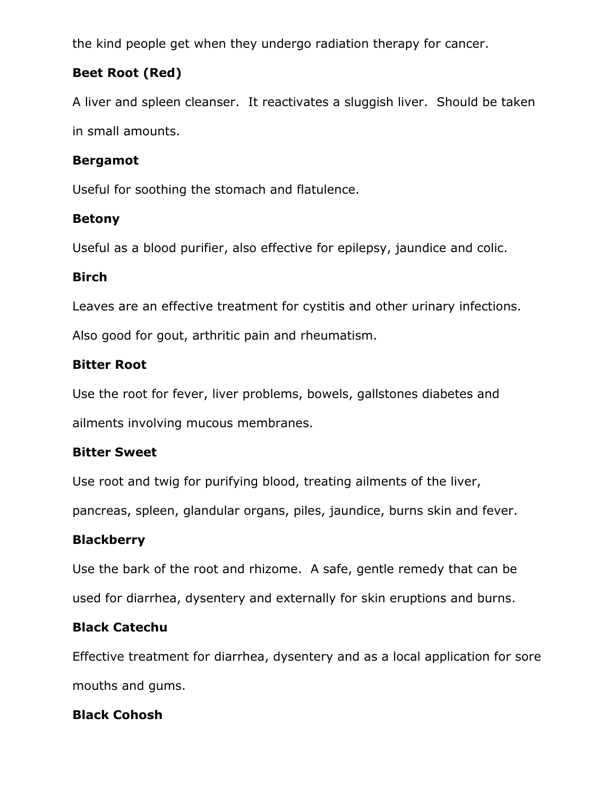the kind people get when they undergo radiation therapy for cancer.

# Beet Root (Red)

A liver and spleen cleanser. It reactivates a sluggish liver. Should be taken in small amounts.

## Bergamot

Useful for soothing the stomach and flatulence.

## Betony

Useful as a blood purifier, also effective for epilepsy, jaundice and colic.

## Birch

Leaves are an effective treatment for cystitis and other urinary infections.

Also good for gout, arthritic pain and rheumatism.

## Bitter Root

Use the root for fever, liver problems, bowels, gallstones diabetes and ailments involving mucous membranes.

## Bitter Sweet

Use root and twig for purifying blood, treating ailments of the liver,

pancreas, spleen, glandular organs, piles, jaundice, burns skin and fever.

## **Blackberry**

Use the bark of the root and rhizome. A safe, gentle remedy that can be used for diarrhea, dysentery and externally for skin eruptions and burns.

## Black Catechu

Effective treatment for diarrhea, dysentery and as a local application for sore mouths and gums.

## Black Cohosh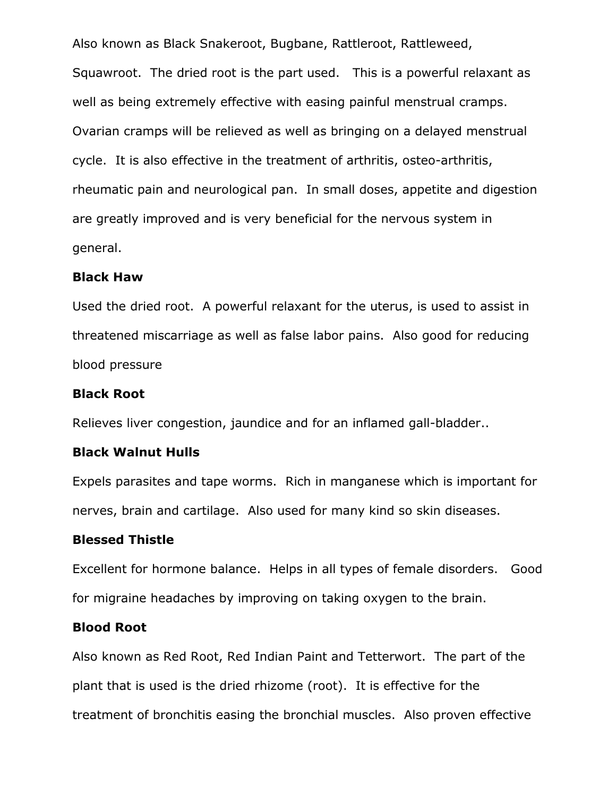Also known as Black Snakeroot, Bugbane, Rattleroot, Rattleweed, Squawroot. The dried root is the part used. This is a powerful relaxant as well as being extremely effective with easing painful menstrual cramps. Ovarian cramps will be relieved as well as bringing on a delayed menstrual cycle. It is also effective in the treatment of arthritis, osteo-arthritis, rheumatic pain and neurological pan. In small doses, appetite and digestion are greatly improved and is very beneficial for the nervous system in general.

#### Black Haw

Used the dried root. A powerful relaxant for the uterus, is used to assist in threatened miscarriage as well as false labor pains. Also good for reducing blood pressure

#### Black Root

Relieves liver congestion, jaundice and for an inflamed gall-bladder..

#### Black Walnut Hulls

Expels parasites and tape worms. Rich in manganese which is important for nerves, brain and cartilage. Also used for many kind so skin diseases.

#### Blessed Thistle

Excellent for hormone balance. Helps in all types of female disorders. Good for migraine headaches by improving on taking oxygen to the brain.

#### Blood Root

Also known as Red Root, Red Indian Paint and Tetterwort. The part of the plant that is used is the dried rhizome (root). It is effective for the treatment of bronchitis easing the bronchial muscles. Also proven effective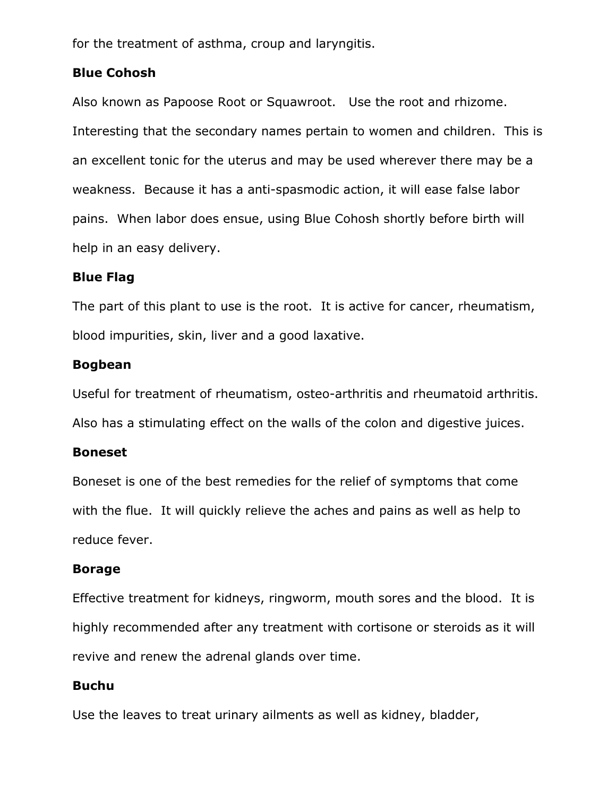for the treatment of asthma, croup and laryngitis.

#### Blue Cohosh

Also known as Papoose Root or Squawroot. Use the root and rhizome. Interesting that the secondary names pertain to women and children. This is an excellent tonic for the uterus and may be used wherever there may be a weakness. Because it has a anti-spasmodic action, it will ease false labor pains. When labor does ensue, using Blue Cohosh shortly before birth will help in an easy delivery.

### Blue Flag

The part of this plant to use is the root. It is active for cancer, rheumatism, blood impurities, skin, liver and a good laxative.

### Bogbean

Useful for treatment of rheumatism, osteo-arthritis and rheumatoid arthritis. Also has a stimulating effect on the walls of the colon and digestive juices.

#### Boneset

Boneset is one of the best remedies for the relief of symptoms that come with the flue. It will quickly relieve the aches and pains as well as help to reduce fever.

#### Borage

Effective treatment for kidneys, ringworm, mouth sores and the blood. It is highly recommended after any treatment with cortisone or steroids as it will revive and renew the adrenal glands over time.

#### Buchu

Use the leaves to treat urinary ailments as well as kidney, bladder,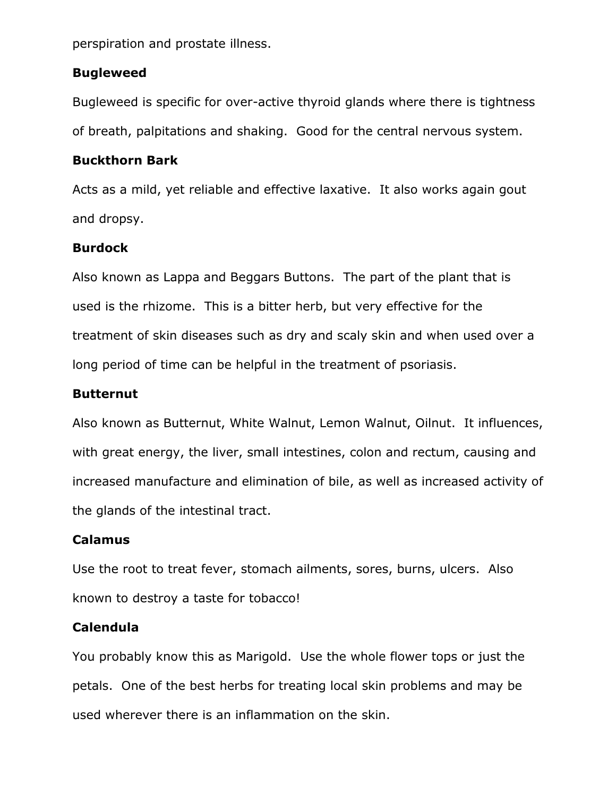perspiration and prostate illness.

#### Bugleweed

Bugleweed is specific for over-active thyroid glands where there is tightness of breath, palpitations and shaking. Good for the central nervous system.

#### Buckthorn Bark

Acts as a mild, yet reliable and effective laxative. It also works again gout and dropsy.

#### Burdock

Also known as Lappa and Beggars Buttons. The part of the plant that is used is the rhizome. This is a bitter herb, but very effective for the treatment of skin diseases such as dry and scaly skin and when used over a long period of time can be helpful in the treatment of psoriasis.

#### Butternut

Also known as Butternut, White Walnut, Lemon Walnut, Oilnut. It influences, with great energy, the liver, small intestines, colon and rectum, causing and increased manufacture and elimination of bile, as well as increased activity of the glands of the intestinal tract.

#### Calamus

Use the root to treat fever, stomach ailments, sores, burns, ulcers. Also known to destroy a taste for tobacco!

#### Calendula

You probably know this as Marigold. Use the whole flower tops or just the petals. One of the best herbs for treating local skin problems and may be used wherever there is an inflammation on the skin.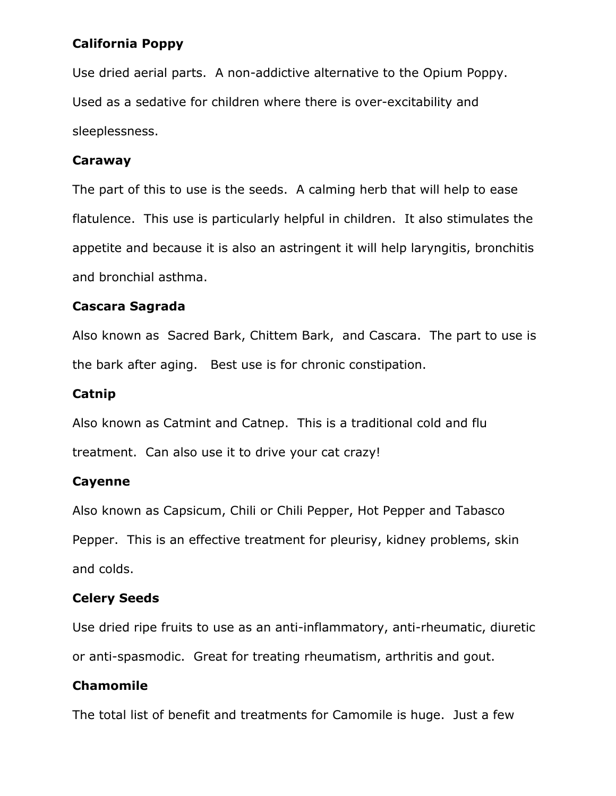## California Poppy

Use dried aerial parts. A non-addictive alternative to the Opium Poppy. Used as a sedative for children where there is over-excitability and sleeplessness.

### Caraway

The part of this to use is the seeds. A calming herb that will help to ease flatulence. This use is particularly helpful in children. It also stimulates the appetite and because it is also an astringent it will help laryngitis, bronchitis and bronchial asthma.

## Cascara Sagrada

Also known as Sacred Bark, Chittem Bark, and Cascara. The part to use is the bark after aging. Best use is for chronic constipation.

## Catnip

Also known as Catmint and Catnep. This is a traditional cold and flu treatment. Can also use it to drive your cat crazy!

## Cayenne

Also known as Capsicum, Chili or Chili Pepper, Hot Pepper and Tabasco Pepper. This is an effective treatment for pleurisy, kidney problems, skin and colds.

## Celery Seeds

Use dried ripe fruits to use as an anti-inflammatory, anti-rheumatic, diuretic or anti-spasmodic. Great for treating rheumatism, arthritis and gout.

## Chamomile

The total list of benefit and treatments for Camomile is huge. Just a few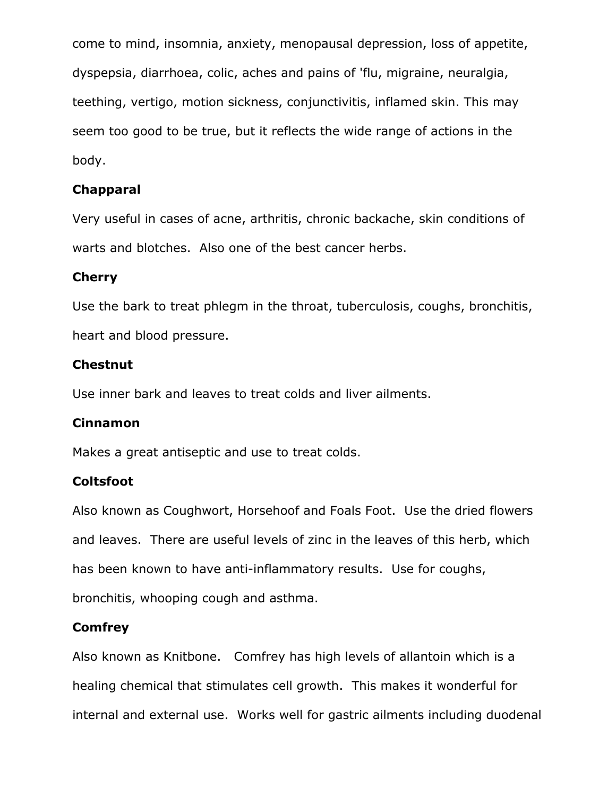come to mind, insomnia, anxiety, menopausal depression, loss of appetite, dyspepsia, diarrhoea, colic, aches and pains of 'flu, migraine, neuralgia, teething, vertigo, motion sickness, conjunctivitis, inflamed skin. This may seem too good to be true, but it reflects the wide range of actions in the body.

## Chapparal

Very useful in cases of acne, arthritis, chronic backache, skin conditions of warts and blotches. Also one of the best cancer herbs.

### Cherry

Use the bark to treat phlegm in the throat, tuberculosis, coughs, bronchitis, heart and blood pressure.

### Chestnut

Use inner bark and leaves to treat colds and liver ailments.

## Cinnamon

Makes a great antiseptic and use to treat colds.

## **Coltsfoot**

Also known as Coughwort, Horsehoof and Foals Foot. Use the dried flowers and leaves. There are useful levels of zinc in the leaves of this herb, which has been known to have anti-inflammatory results. Use for coughs, bronchitis, whooping cough and asthma.

## **Comfrey**

Also known as Knitbone. Comfrey has high levels of allantoin which is a healing chemical that stimulates cell growth. This makes it wonderful for internal and external use. Works well for gastric ailments including duodenal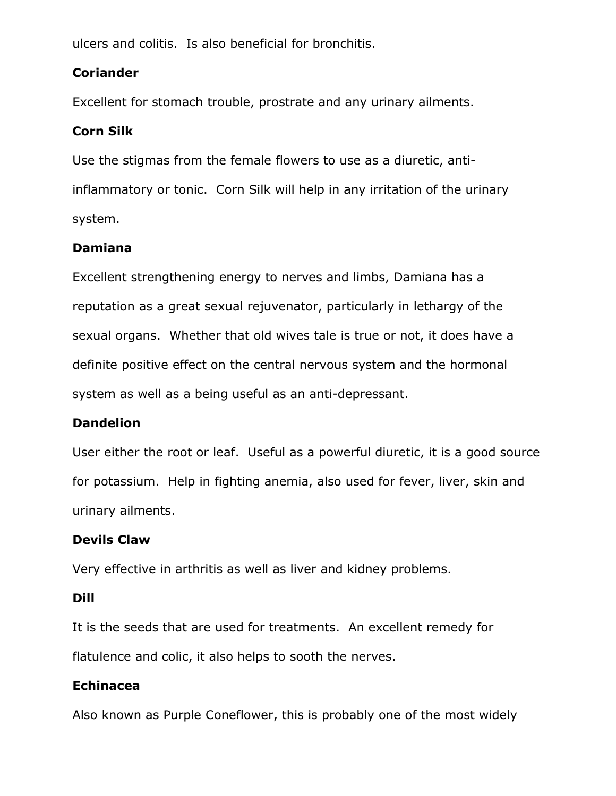ulcers and colitis. Is also beneficial for bronchitis.

## Coriander

Excellent for stomach trouble, prostrate and any urinary ailments.

## Corn Silk

Use the stigmas from the female flowers to use as a diuretic, antiinflammatory or tonic. Corn Silk will help in any irritation of the urinary system.

## Damiana

Excellent strengthening energy to nerves and limbs, Damiana has a reputation as a great sexual rejuvenator, particularly in lethargy of the sexual organs. Whether that old wives tale is true or not, it does have a definite positive effect on the central nervous system and the hormonal system as well as a being useful as an anti-depressant.

## Dandelion

User either the root or leaf. Useful as a powerful diuretic, it is a good source for potassium. Help in fighting anemia, also used for fever, liver, skin and urinary ailments.

## Devils Claw

Very effective in arthritis as well as liver and kidney problems.

## Dill

It is the seeds that are used for treatments. An excellent remedy for flatulence and colic, it also helps to sooth the nerves.

## Echinacea

Also known as Purple Coneflower, this is probably one of the most widely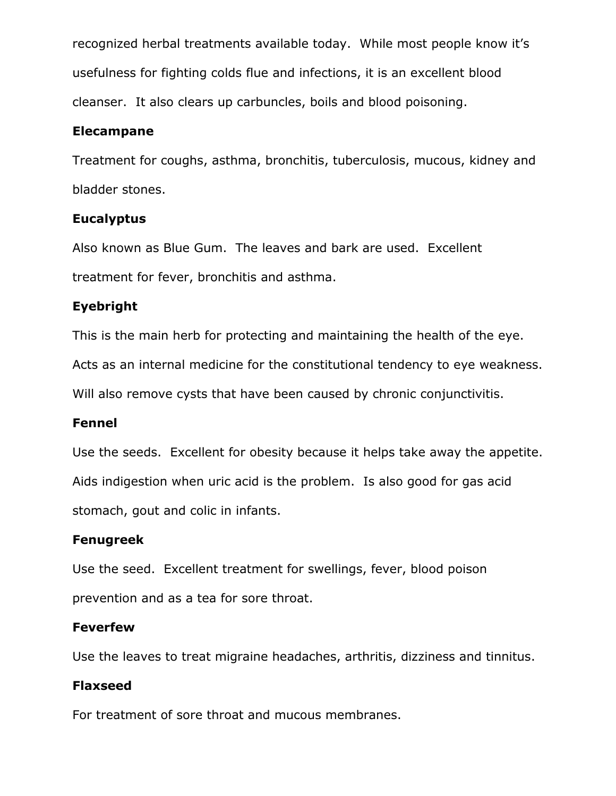recognized herbal treatments available today. While most people know it's usefulness for fighting colds flue and infections, it is an excellent blood cleanser. It also clears up carbuncles, boils and blood poisoning.

### Elecampane

Treatment for coughs, asthma, bronchitis, tuberculosis, mucous, kidney and bladder stones.

## Eucalyptus

Also known as Blue Gum. The leaves and bark are used. Excellent treatment for fever, bronchitis and asthma.

## Eyebright

This is the main herb for protecting and maintaining the health of the eye.

Acts as an internal medicine for the constitutional tendency to eye weakness.

Will also remove cysts that have been caused by chronic conjunctivitis.

## Fennel

Use the seeds. Excellent for obesity because it helps take away the appetite. Aids indigestion when uric acid is the problem. Is also good for gas acid stomach, gout and colic in infants.

## Fenugreek

Use the seed. Excellent treatment for swellings, fever, blood poison prevention and as a tea for sore throat.

## Feverfew

Use the leaves to treat migraine headaches, arthritis, dizziness and tinnitus.

## Flaxseed

For treatment of sore throat and mucous membranes.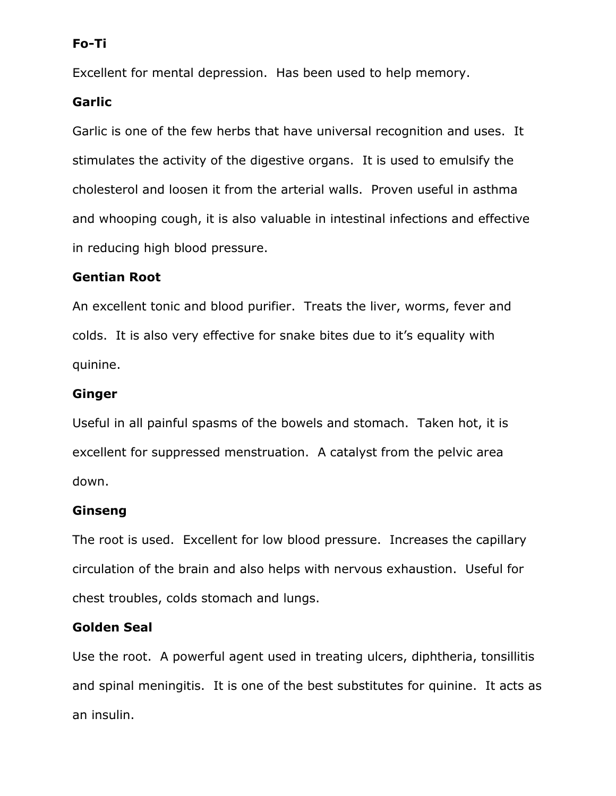## Fo-Ti

Excellent for mental depression. Has been used to help memory.

#### Garlic

Garlic is one of the few herbs that have universal recognition and uses. It stimulates the activity of the digestive organs. It is used to emulsify the cholesterol and loosen it from the arterial walls. Proven useful in asthma and whooping cough, it is also valuable in intestinal infections and effective in reducing high blood pressure.

### Gentian Root

An excellent tonic and blood purifier. Treats the liver, worms, fever and colds. It is also very effective for snake bites due to it's equality with quinine.

#### Ginger

Useful in all painful spasms of the bowels and stomach. Taken hot, it is excellent for suppressed menstruation. A catalyst from the pelvic area down.

#### Ginseng

The root is used. Excellent for low blood pressure. Increases the capillary circulation of the brain and also helps with nervous exhaustion. Useful for chest troubles, colds stomach and lungs.

#### Golden Seal

Use the root. A powerful agent used in treating ulcers, diphtheria, tonsillitis and spinal meningitis. It is one of the best substitutes for quinine. It acts as an insulin.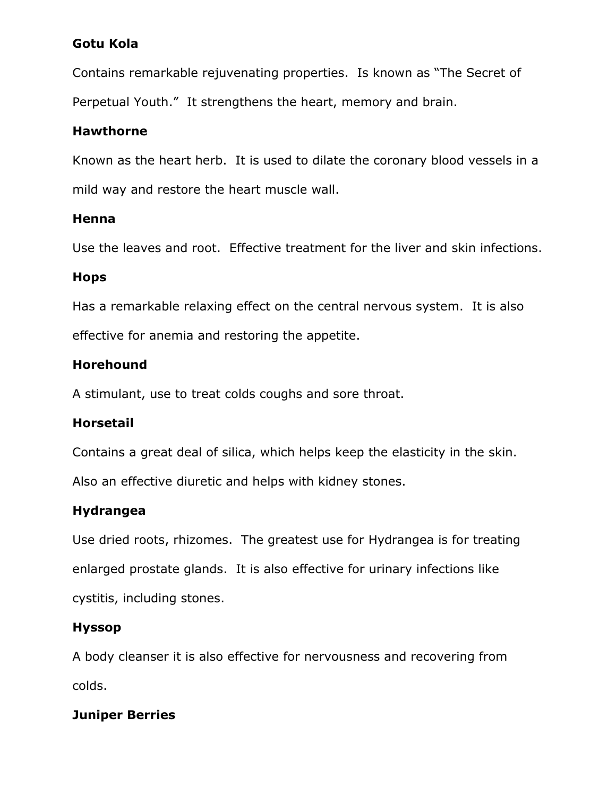## Gotu Kola

Contains remarkable rejuvenating properties. Is known as "The Secret of Perpetual Youth." It strengthens the heart, memory and brain.

## Hawthorne

Known as the heart herb. It is used to dilate the coronary blood vessels in a mild way and restore the heart muscle wall.

## Henna

Use the leaves and root. Effective treatment for the liver and skin infections.

### Hops

Has a remarkable relaxing effect on the central nervous system. It is also effective for anemia and restoring the appetite.

## Horehound

A stimulant, use to treat colds coughs and sore throat.

## Horsetail

Contains a great deal of silica, which helps keep the elasticity in the skin.

Also an effective diuretic and helps with kidney stones.

## Hydrangea

Use dried roots, rhizomes. The greatest use for Hydrangea is for treating enlarged prostate glands. It is also effective for urinary infections like cystitis, including stones.

## Hyssop

A body cleanser it is also effective for nervousness and recovering from colds.

## Juniper Berries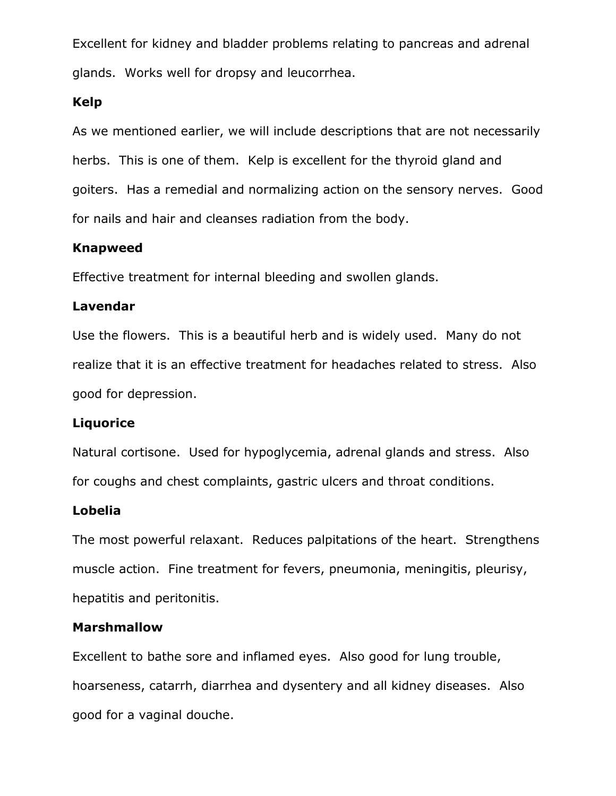Excellent for kidney and bladder problems relating to pancreas and adrenal glands. Works well for dropsy and leucorrhea.

### Kelp

As we mentioned earlier, we will include descriptions that are not necessarily herbs. This is one of them. Kelp is excellent for the thyroid gland and goiters. Has a remedial and normalizing action on the sensory nerves. Good for nails and hair and cleanses radiation from the body.

## Knapweed

Effective treatment for internal bleeding and swollen glands.

## Lavendar

Use the flowers. This is a beautiful herb and is widely used. Many do not realize that it is an effective treatment for headaches related to stress. Also good for depression.

## **Liquorice**

Natural cortisone. Used for hypoglycemia, adrenal glands and stress. Also for coughs and chest complaints, gastric ulcers and throat conditions.

#### Lobelia

The most powerful relaxant. Reduces palpitations of the heart. Strengthens muscle action. Fine treatment for fevers, pneumonia, meningitis, pleurisy, hepatitis and peritonitis.

## Marshmallow

Excellent to bathe sore and inflamed eyes. Also good for lung trouble, hoarseness, catarrh, diarrhea and dysentery and all kidney diseases. Also good for a vaginal douche.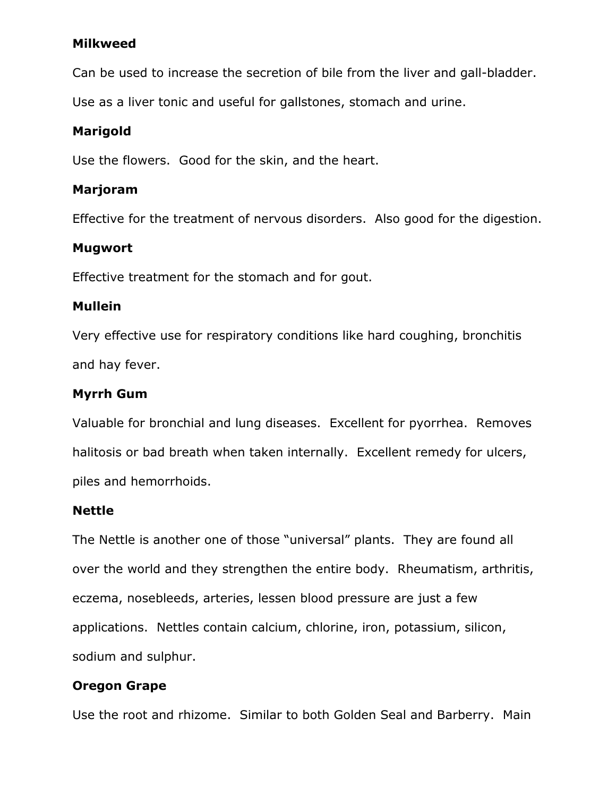#### Milkweed

Can be used to increase the secretion of bile from the liver and gall-bladder.

Use as a liver tonic and useful for gallstones, stomach and urine.

## Marigold

Use the flowers. Good for the skin, and the heart.

## Marjoram

Effective for the treatment of nervous disorders. Also good for the digestion.

### Mugwort

Effective treatment for the stomach and for gout.

#### Mullein

Very effective use for respiratory conditions like hard coughing, bronchitis and hay fever.

### Myrrh Gum

Valuable for bronchial and lung diseases. Excellent for pyorrhea. Removes halitosis or bad breath when taken internally. Excellent remedy for ulcers, piles and hemorrhoids.

#### Nettle

The Nettle is another one of those "universal" plants. They are found all over the world and they strengthen the entire body. Rheumatism, arthritis, eczema, nosebleeds, arteries, lessen blood pressure are just a few applications. Nettles contain calcium, chlorine, iron, potassium, silicon, sodium and sulphur.

## Oregon Grape

Use the root and rhizome. Similar to both Golden Seal and Barberry. Main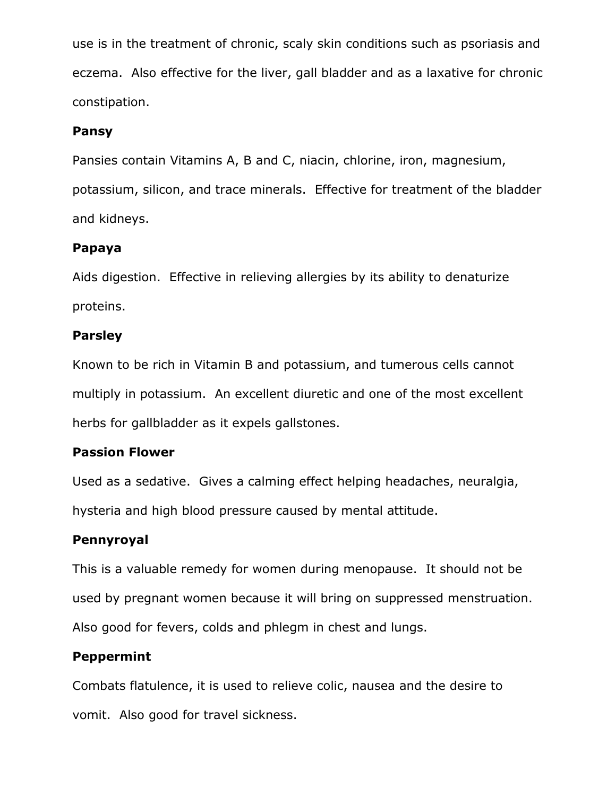use is in the treatment of chronic, scaly skin conditions such as psoriasis and eczema. Also effective for the liver, gall bladder and as a laxative for chronic constipation.

## Pansy

Pansies contain Vitamins A, B and C, niacin, chlorine, iron, magnesium, potassium, silicon, and trace minerals. Effective for treatment of the bladder and kidneys.

## Papaya

Aids digestion. Effective in relieving allergies by its ability to denaturize proteins.

## Parsley

Known to be rich in Vitamin B and potassium, and tumerous cells cannot multiply in potassium. An excellent diuretic and one of the most excellent herbs for gallbladder as it expels gallstones.

## Passion Flower

Used as a sedative. Gives a calming effect helping headaches, neuralgia, hysteria and high blood pressure caused by mental attitude.

## Pennyroyal

This is a valuable remedy for women during menopause. It should not be used by pregnant women because it will bring on suppressed menstruation. Also good for fevers, colds and phlegm in chest and lungs.

## Peppermint

Combats flatulence, it is used to relieve colic, nausea and the desire to vomit. Also good for travel sickness.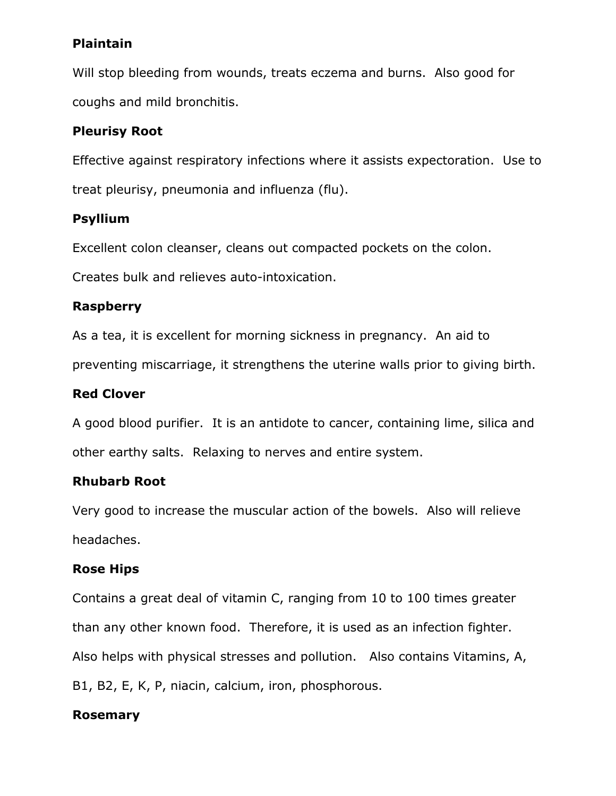## **Plaintain**

Will stop bleeding from wounds, treats eczema and burns. Also good for coughs and mild bronchitis.

## Pleurisy Root

Effective against respiratory infections where it assists expectoration. Use to treat pleurisy, pneumonia and influenza (flu).

## Psyllium

Excellent colon cleanser, cleans out compacted pockets on the colon.

Creates bulk and relieves auto-intoxication.

## Raspberry

As a tea, it is excellent for morning sickness in pregnancy. An aid to preventing miscarriage, it strengthens the uterine walls prior to giving birth.

## Red Clover

A good blood purifier. It is an antidote to cancer, containing lime, silica and other earthy salts. Relaxing to nerves and entire system.

## Rhubarb Root

Very good to increase the muscular action of the bowels. Also will relieve headaches.

## Rose Hips

Contains a great deal of vitamin C, ranging from 10 to 100 times greater than any other known food. Therefore, it is used as an infection fighter. Also helps with physical stresses and pollution. Also contains Vitamins, A, B1, B2, E, K, P, niacin, calcium, iron, phosphorous.

## Rosemary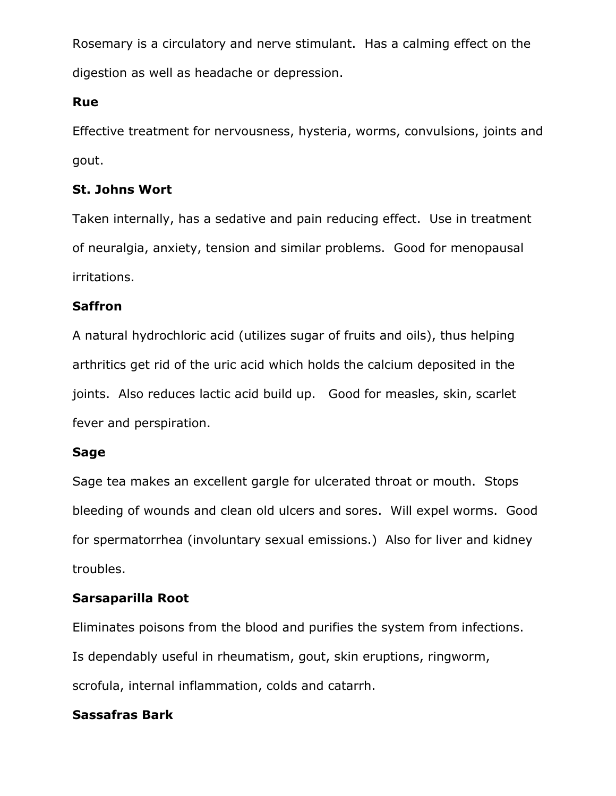Rosemary is a circulatory and nerve stimulant. Has a calming effect on the digestion as well as headache or depression.

## Rue

Effective treatment for nervousness, hysteria, worms, convulsions, joints and gout.

## St. Johns Wort

Taken internally, has a sedative and pain reducing effect. Use in treatment of neuralgia, anxiety, tension and similar problems. Good for menopausal irritations.

## Saffron

A natural hydrochloric acid (utilizes sugar of fruits and oils), thus helping arthritics get rid of the uric acid which holds the calcium deposited in the joints. Also reduces lactic acid build up. Good for measles, skin, scarlet fever and perspiration.

## Sage

Sage tea makes an excellent gargle for ulcerated throat or mouth. Stops bleeding of wounds and clean old ulcers and sores. Will expel worms. Good for spermatorrhea (involuntary sexual emissions.) Also for liver and kidney troubles.

## Sarsaparilla Root

Eliminates poisons from the blood and purifies the system from infections. Is dependably useful in rheumatism, gout, skin eruptions, ringworm, scrofula, internal inflammation, colds and catarrh.

## Sassafras Bark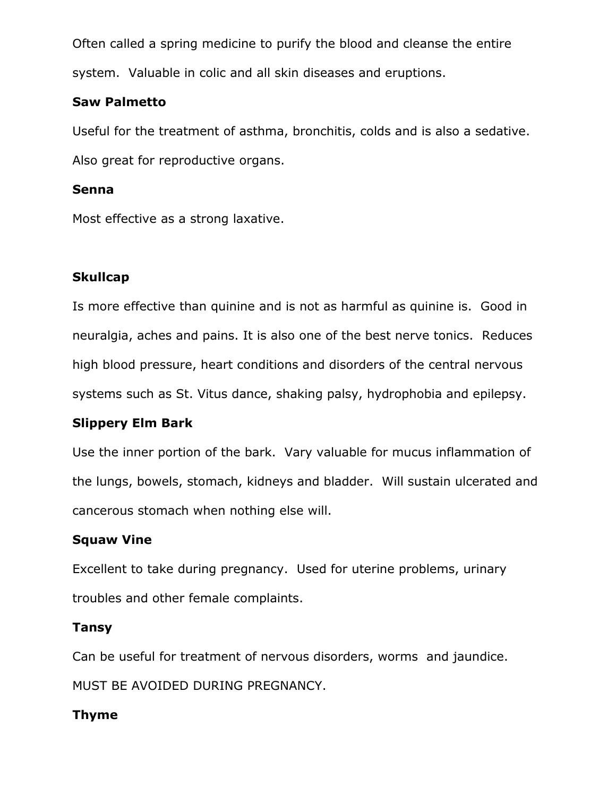Often called a spring medicine to purify the blood and cleanse the entire system. Valuable in colic and all skin diseases and eruptions.

### Saw Palmetto

Useful for the treatment of asthma, bronchitis, colds and is also a sedative. Also great for reproductive organs.

### Senna

Most effective as a strong laxative.

## **Skullcap**

Is more effective than quinine and is not as harmful as quinine is. Good in neuralgia, aches and pains. It is also one of the best nerve tonics. Reduces high blood pressure, heart conditions and disorders of the central nervous systems such as St. Vitus dance, shaking palsy, hydrophobia and epilepsy.

## Slippery Elm Bark

Use the inner portion of the bark. Vary valuable for mucus inflammation of the lungs, bowels, stomach, kidneys and bladder. Will sustain ulcerated and cancerous stomach when nothing else will.

## Squaw Vine

Excellent to take during pregnancy. Used for uterine problems, urinary troubles and other female complaints.

## Tansy

Can be useful for treatment of nervous disorders, worms and jaundice.

MUST BE AVOIDED DURING PREGNANCY.

## Thyme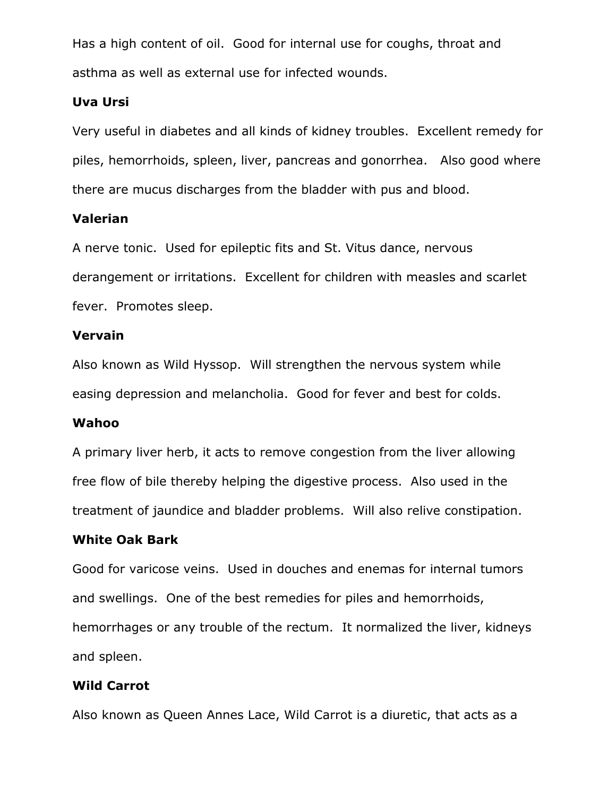Has a high content of oil. Good for internal use for coughs, throat and asthma as well as external use for infected wounds.

### Uva Ursi

Very useful in diabetes and all kinds of kidney troubles. Excellent remedy for piles, hemorrhoids, spleen, liver, pancreas and gonorrhea. Also good where there are mucus discharges from the bladder with pus and blood.

### Valerian

A nerve tonic. Used for epileptic fits and St. Vitus dance, nervous derangement or irritations. Excellent for children with measles and scarlet fever. Promotes sleep.

### Vervain

Also known as Wild Hyssop. Will strengthen the nervous system while easing depression and melancholia. Good for fever and best for colds.

#### Wahoo

A primary liver herb, it acts to remove congestion from the liver allowing free flow of bile thereby helping the digestive process. Also used in the treatment of jaundice and bladder problems. Will also relive constipation.

#### White Oak Bark

Good for varicose veins. Used in douches and enemas for internal tumors and swellings. One of the best remedies for piles and hemorrhoids, hemorrhages or any trouble of the rectum. It normalized the liver, kidneys and spleen.

## Wild Carrot

Also known as Queen Annes Lace, Wild Carrot is a diuretic, that acts as a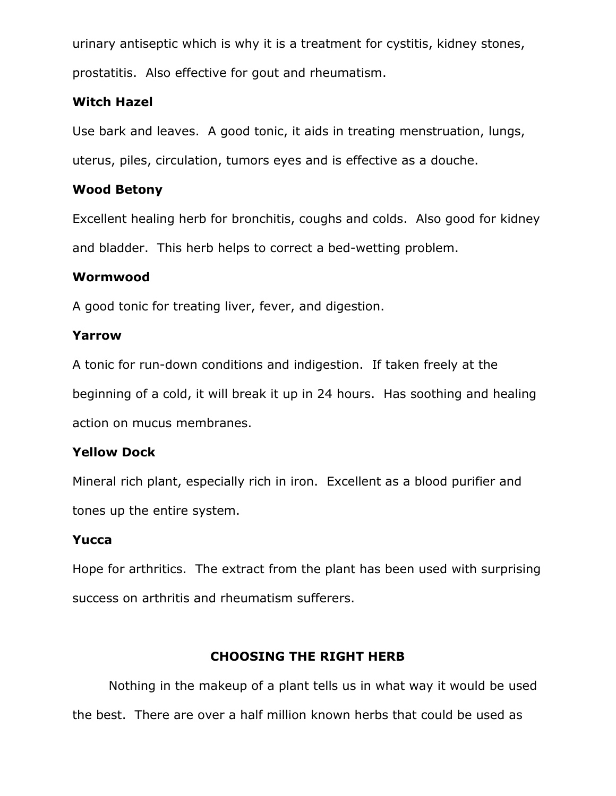urinary antiseptic which is why it is a treatment for cystitis, kidney stones, prostatitis. Also effective for gout and rheumatism.

## Witch Hazel

Use bark and leaves. A good tonic, it aids in treating menstruation, lungs, uterus, piles, circulation, tumors eyes and is effective as a douche.

## Wood Betony

Excellent healing herb for bronchitis, coughs and colds. Also good for kidney and bladder. This herb helps to correct a bed-wetting problem.

## Wormwood

A good tonic for treating liver, fever, and digestion.

## Yarrow

A tonic for run-down conditions and indigestion. If taken freely at the beginning of a cold, it will break it up in 24 hours. Has soothing and healing action on mucus membranes.

## Yellow Dock

Mineral rich plant, especially rich in iron. Excellent as a blood purifier and tones up the entire system.

## Yucca

Hope for arthritics. The extract from the plant has been used with surprising success on arthritis and rheumatism sufferers.

## CHOOSING THE RIGHT HERB

Nothing in the makeup of a plant tells us in what way it would be used the best. There are over a half million known herbs that could be used as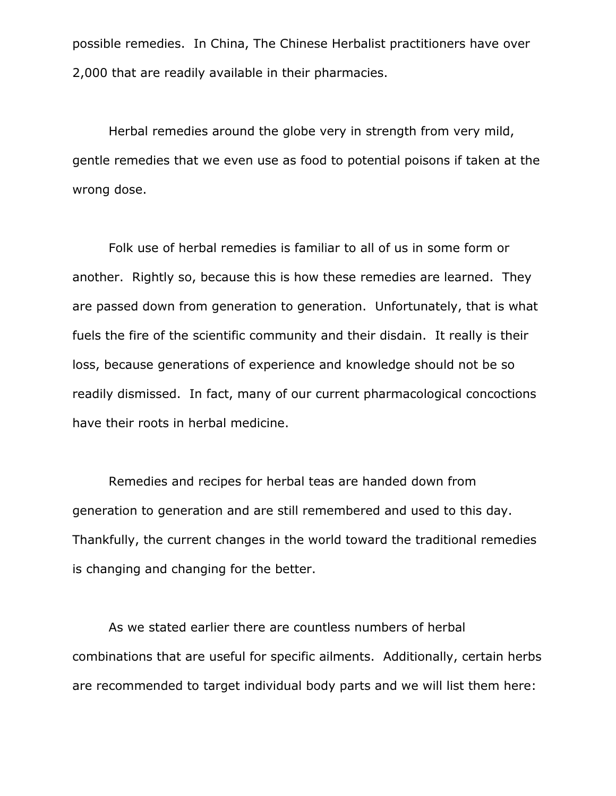possible remedies. In China, The Chinese Herbalist practitioners have over 2,000 that are readily available in their pharmacies.

Herbal remedies around the globe very in strength from very mild, gentle remedies that we even use as food to potential poisons if taken at the wrong dose.

Folk use of herbal remedies is familiar to all of us in some form or another. Rightly so, because this is how these remedies are learned. They are passed down from generation to generation. Unfortunately, that is what fuels the fire of the scientific community and their disdain. It really is their loss, because generations of experience and knowledge should not be so readily dismissed. In fact, many of our current pharmacological concoctions have their roots in herbal medicine.

Remedies and recipes for herbal teas are handed down from generation to generation and are still remembered and used to this day. Thankfully, the current changes in the world toward the traditional remedies is changing and changing for the better.

As we stated earlier there are countless numbers of herbal combinations that are useful for specific ailments. Additionally, certain herbs are recommended to target individual body parts and we will list them here: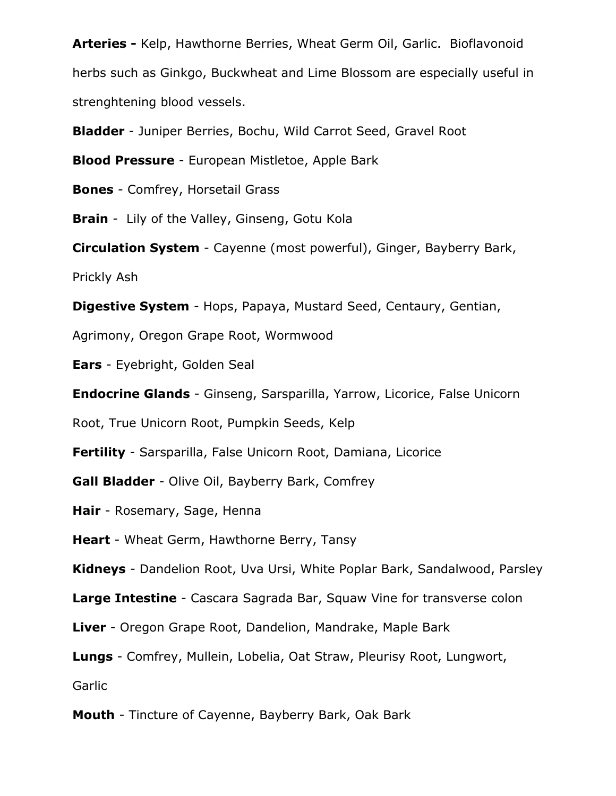Arteries - Kelp, Hawthorne Berries, Wheat Germ Oil, Garlic. Bioflavonoid herbs such as Ginkgo, Buckwheat and Lime Blossom are especially useful in strenghtening blood vessels.

Bladder - Juniper Berries, Bochu, Wild Carrot Seed, Gravel Root

**Blood Pressure** - European Mistletoe, Apple Bark

Bones - Comfrey, Horsetail Grass

**Brain** - Lily of the Valley, Ginseng, Gotu Kola

Circulation System - Cayenne (most powerful), Ginger, Bayberry Bark,

Prickly Ash

Digestive System - Hops, Papaya, Mustard Seed, Centaury, Gentian,

Agrimony, Oregon Grape Root, Wormwood

Ears - Eyebright, Golden Seal

Endocrine Glands - Ginseng, Sarsparilla, Yarrow, Licorice, False Unicorn

Root, True Unicorn Root, Pumpkin Seeds, Kelp

Fertility - Sarsparilla, False Unicorn Root, Damiana, Licorice

Gall Bladder - Olive Oil, Bayberry Bark, Comfrey

Hair - Rosemary, Sage, Henna

Heart - Wheat Germ, Hawthorne Berry, Tansy

Kidneys - Dandelion Root, Uva Ursi, White Poplar Bark, Sandalwood, Parsley

Large Intestine - Cascara Sagrada Bar, Squaw Vine for transverse colon

Liver - Oregon Grape Root, Dandelion, Mandrake, Maple Bark

Lungs - Comfrey, Mullein, Lobelia, Oat Straw, Pleurisy Root, Lungwort,

**Garlic** 

Mouth - Tincture of Cayenne, Bayberry Bark, Oak Bark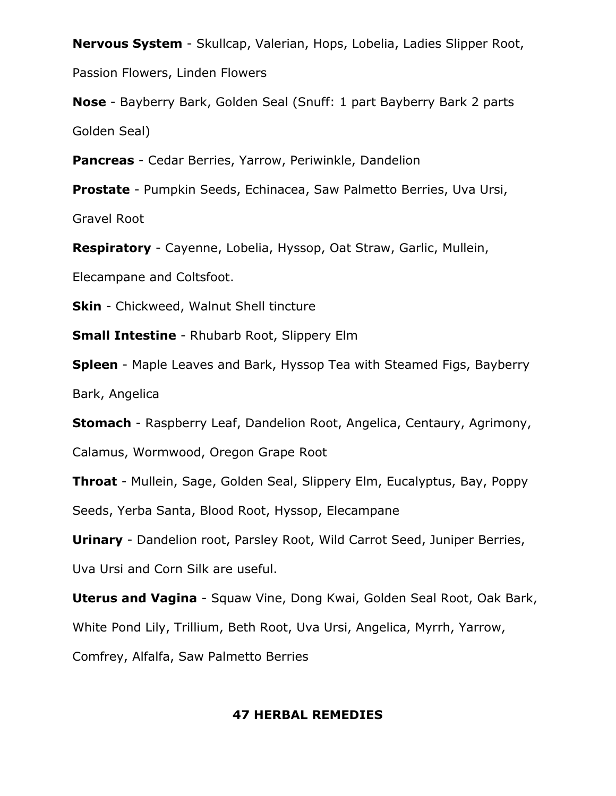Nervous System - Skullcap, Valerian, Hops, Lobelia, Ladies Slipper Root,

Passion Flowers, Linden Flowers

Nose - Bayberry Bark, Golden Seal (Snuff: 1 part Bayberry Bark 2 parts Golden Seal)

Pancreas - Cedar Berries, Yarrow, Periwinkle, Dandelion

Prostate - Pumpkin Seeds, Echinacea, Saw Palmetto Berries, Uva Ursi, Gravel Root

Respiratory - Cayenne, Lobelia, Hyssop, Oat Straw, Garlic, Mullein,

Elecampane and Coltsfoot.

**Skin** - Chickweed, Walnut Shell tincture

**Small Intestine** - Rhubarb Root, Slippery Elm

Spleen - Maple Leaves and Bark, Hyssop Tea with Steamed Figs, Bayberry Bark, Angelica

Stomach - Raspberry Leaf, Dandelion Root, Angelica, Centaury, Agrimony,

Calamus, Wormwood, Oregon Grape Root

Throat - Mullein, Sage, Golden Seal, Slippery Elm, Eucalyptus, Bay, Poppy

Seeds, Yerba Santa, Blood Root, Hyssop, Elecampane

Urinary - Dandelion root, Parsley Root, Wild Carrot Seed, Juniper Berries,

Uva Ursi and Corn Silk are useful.

Uterus and Vagina - Squaw Vine, Dong Kwai, Golden Seal Root, Oak Bark,

White Pond Lily, Trillium, Beth Root, Uva Ursi, Angelica, Myrrh, Yarrow,

Comfrey, Alfalfa, Saw Palmetto Berries

#### 47 HERBAL REMEDIES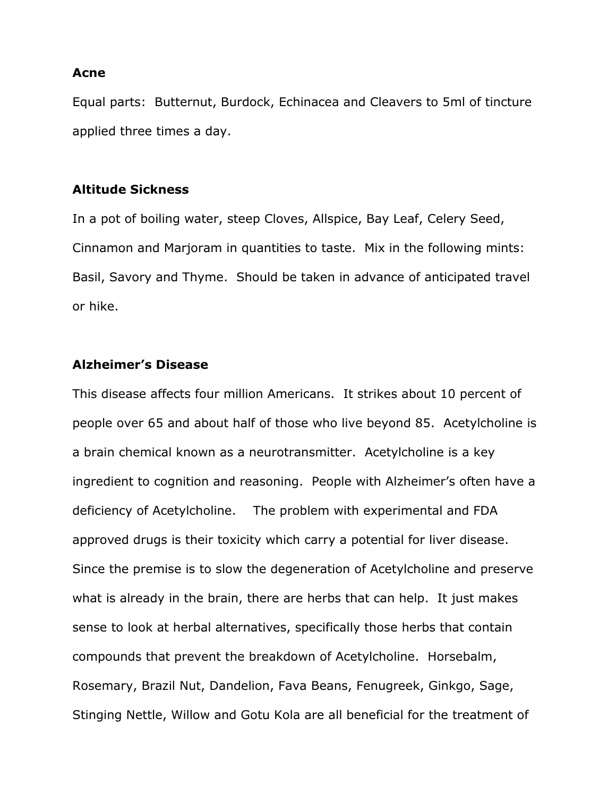#### Acne

Equal parts: Butternut, Burdock, Echinacea and Cleavers to 5ml of tincture applied three times a day.

#### Altitude Sickness

In a pot of boiling water, steep Cloves, Allspice, Bay Leaf, Celery Seed, Cinnamon and Marjoram in quantities to taste. Mix in the following mints: Basil, Savory and Thyme. Should be taken in advance of anticipated travel or hike.

#### Alzheimer's Disease

This disease affects four million Americans. It strikes about 10 percent of people over 65 and about half of those who live beyond 85. Acetylcholine is a brain chemical known as a neurotransmitter. Acetylcholine is a key ingredient to cognition and reasoning. People with Alzheimer's often have a deficiency of Acetylcholine. The problem with experimental and FDA approved drugs is their toxicity which carry a potential for liver disease. Since the premise is to slow the degeneration of Acetylcholine and preserve what is already in the brain, there are herbs that can help. It just makes sense to look at herbal alternatives, specifically those herbs that contain compounds that prevent the breakdown of Acetylcholine. Horsebalm, Rosemary, Brazil Nut, Dandelion, Fava Beans, Fenugreek, Ginkgo, Sage, Stinging Nettle, Willow and Gotu Kola are all beneficial for the treatment of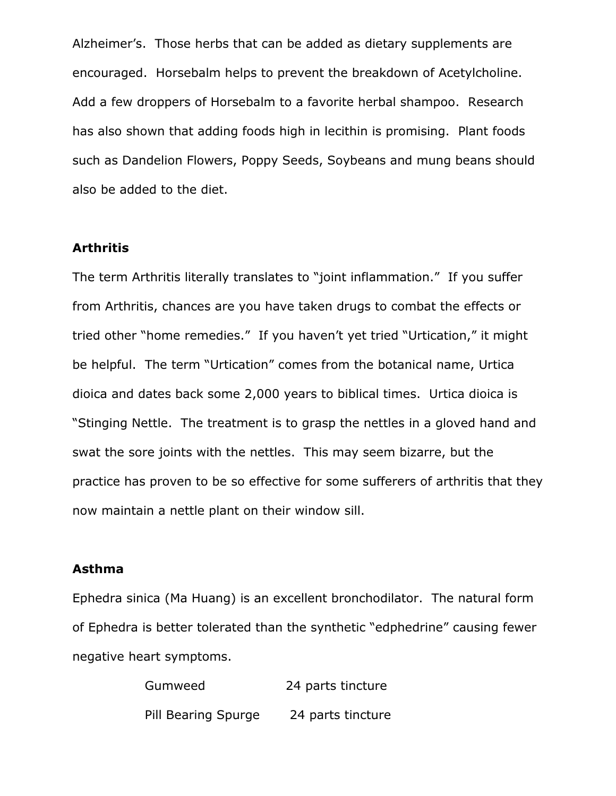Alzheimer's. Those herbs that can be added as dietary supplements are encouraged. Horsebalm helps to prevent the breakdown of Acetylcholine. Add a few droppers of Horsebalm to a favorite herbal shampoo. Research has also shown that adding foods high in lecithin is promising. Plant foods such as Dandelion Flowers, Poppy Seeds, Soybeans and mung beans should also be added to the diet.

#### Arthritis

The term Arthritis literally translates to "joint inflammation." If you suffer from Arthritis, chances are you have taken drugs to combat the effects or tried other "home remedies." If you haven't yet tried "Urtication," it might be helpful. The term "Urtication" comes from the botanical name, Urtica dioica and dates back some 2,000 years to biblical times. Urtica dioica is "Stinging Nettle. The treatment is to grasp the nettles in a gloved hand and swat the sore joints with the nettles. This may seem bizarre, but the practice has proven to be so effective for some sufferers of arthritis that they now maintain a nettle plant on their window sill.

#### Asthma

Ephedra sinica (Ma Huang) is an excellent bronchodilator. The natural form of Ephedra is better tolerated than the synthetic "edphedrine" causing fewer negative heart symptoms.

> Gumweed 24 parts tincture Pill Bearing Spurge 24 parts tincture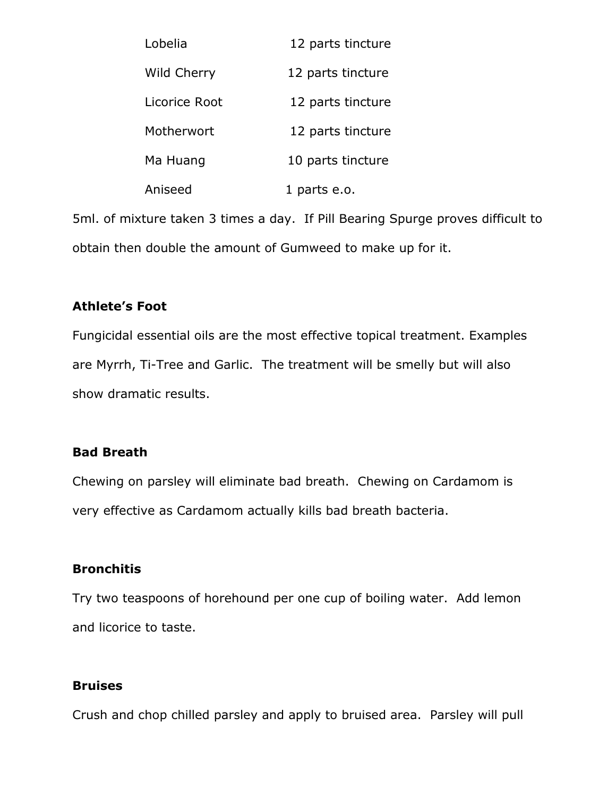| Lobelia       | 12 parts tincture |
|---------------|-------------------|
| Wild Cherry   | 12 parts tincture |
| Licorice Root | 12 parts tincture |
| Motherwort    | 12 parts tincture |
| Ma Huang      | 10 parts tincture |
| Aniseed       | 1 parts e.o.      |

5ml. of mixture taken 3 times a day. If Pill Bearing Spurge proves difficult to obtain then double the amount of Gumweed to make up for it.

### Athlete's Foot

Fungicidal essential oils are the most effective topical treatment. Examples are Myrrh, Ti-Tree and Garlic. The treatment will be smelly but will also show dramatic results.

#### Bad Breath

Chewing on parsley will eliminate bad breath. Chewing on Cardamom is very effective as Cardamom actually kills bad breath bacteria.

#### **Bronchitis**

Try two teaspoons of horehound per one cup of boiling water. Add lemon and licorice to taste.

#### Bruises

Crush and chop chilled parsley and apply to bruised area. Parsley will pull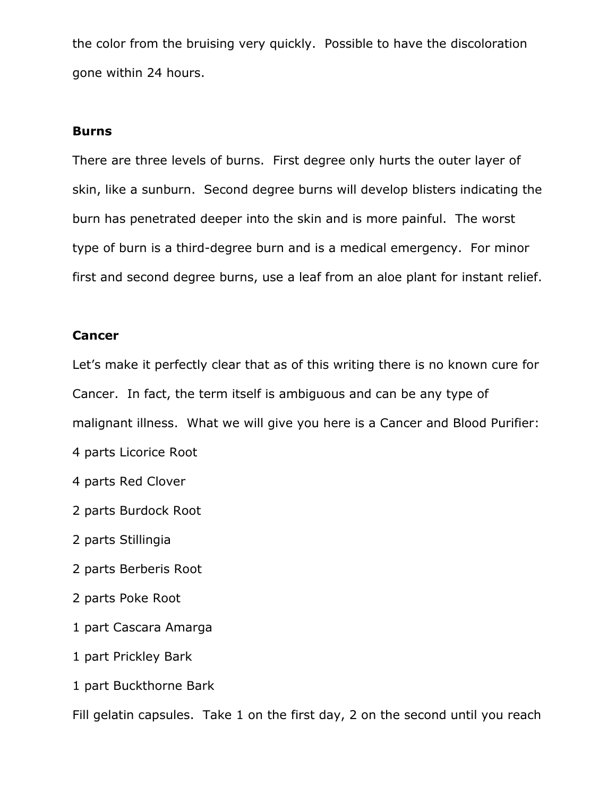the color from the bruising very quickly. Possible to have the discoloration gone within 24 hours.

#### Burns

There are three levels of burns. First degree only hurts the outer layer of skin, like a sunburn. Second degree burns will develop blisters indicating the burn has penetrated deeper into the skin and is more painful. The worst type of burn is a third-degree burn and is a medical emergency. For minor first and second degree burns, use a leaf from an aloe plant for instant relief.

#### Cancer

Let's make it perfectly clear that as of this writing there is no known cure for Cancer. In fact, the term itself is ambiguous and can be any type of malignant illness. What we will give you here is a Cancer and Blood Purifier:

- 4 parts Licorice Root
- 4 parts Red Clover
- 2 parts Burdock Root
- 2 parts Stillingia
- 2 parts Berberis Root
- 2 parts Poke Root
- 1 part Cascara Amarga
- 1 part Prickley Bark
- 1 part Buckthorne Bark

Fill gelatin capsules. Take 1 on the first day, 2 on the second until you reach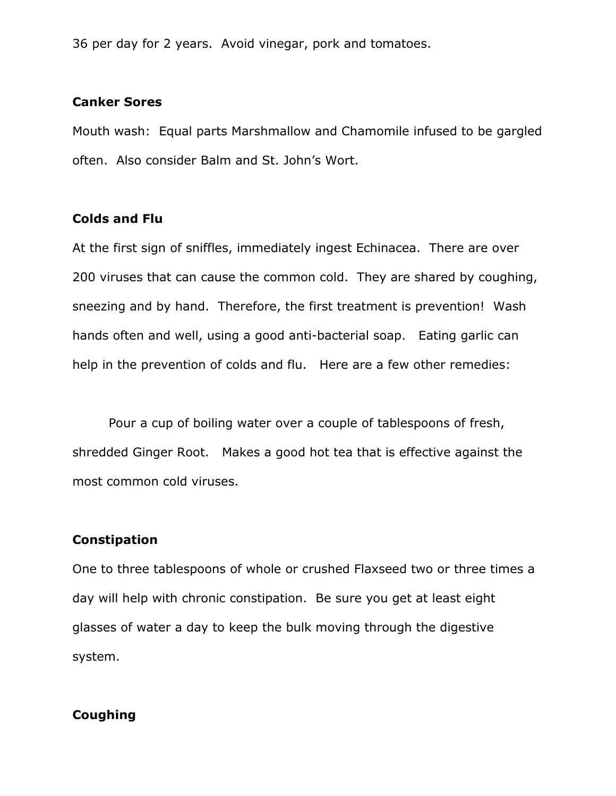36 per day for 2 years. Avoid vinegar, pork and tomatoes.

#### Canker Sores

Mouth wash: Equal parts Marshmallow and Chamomile infused to be gargled often. Also consider Balm and St. John's Wort.

#### Colds and Flu

At the first sign of sniffles, immediately ingest Echinacea. There are over 200 viruses that can cause the common cold. They are shared by coughing, sneezing and by hand. Therefore, the first treatment is prevention! Wash hands often and well, using a good anti-bacterial soap. Eating garlic can help in the prevention of colds and flu. Here are a few other remedies:

Pour a cup of boiling water over a couple of tablespoons of fresh, shredded Ginger Root. Makes a good hot tea that is effective against the most common cold viruses.

#### Constipation

One to three tablespoons of whole or crushed Flaxseed two or three times a day will help with chronic constipation. Be sure you get at least eight glasses of water a day to keep the bulk moving through the digestive system.

#### Coughing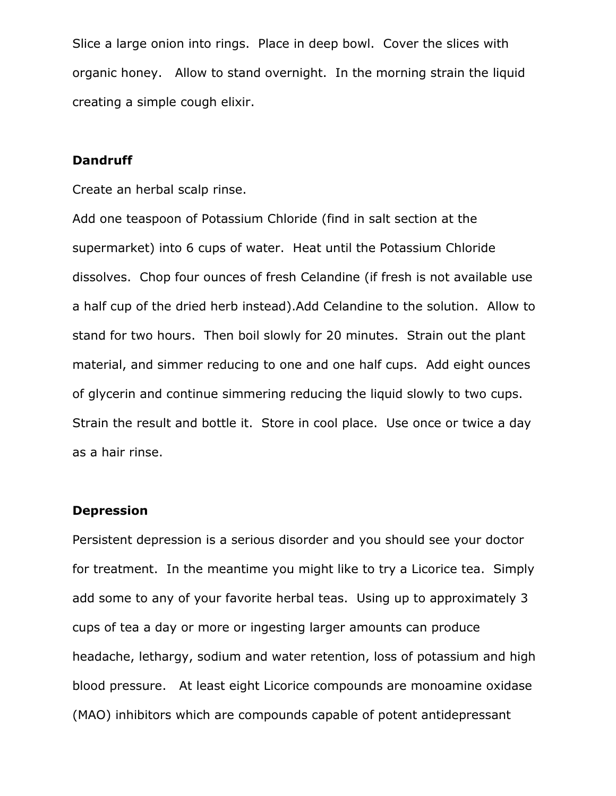Slice a large onion into rings. Place in deep bowl. Cover the slices with organic honey. Allow to stand overnight. In the morning strain the liquid creating a simple cough elixir.

#### **Dandruff**

Create an herbal scalp rinse.

Add one teaspoon of Potassium Chloride (find in salt section at the supermarket) into 6 cups of water. Heat until the Potassium Chloride dissolves. Chop four ounces of fresh Celandine (if fresh is not available use a half cup of the dried herb instead).Add Celandine to the solution. Allow to stand for two hours. Then boil slowly for 20 minutes. Strain out the plant material, and simmer reducing to one and one half cups. Add eight ounces of glycerin and continue simmering reducing the liquid slowly to two cups. Strain the result and bottle it. Store in cool place. Use once or twice a day as a hair rinse.

#### Depression

Persistent depression is a serious disorder and you should see your doctor for treatment. In the meantime you might like to try a Licorice tea. Simply add some to any of your favorite herbal teas. Using up to approximately 3 cups of tea a day or more or ingesting larger amounts can produce headache, lethargy, sodium and water retention, loss of potassium and high blood pressure. At least eight Licorice compounds are monoamine oxidase (MAO) inhibitors which are compounds capable of potent antidepressant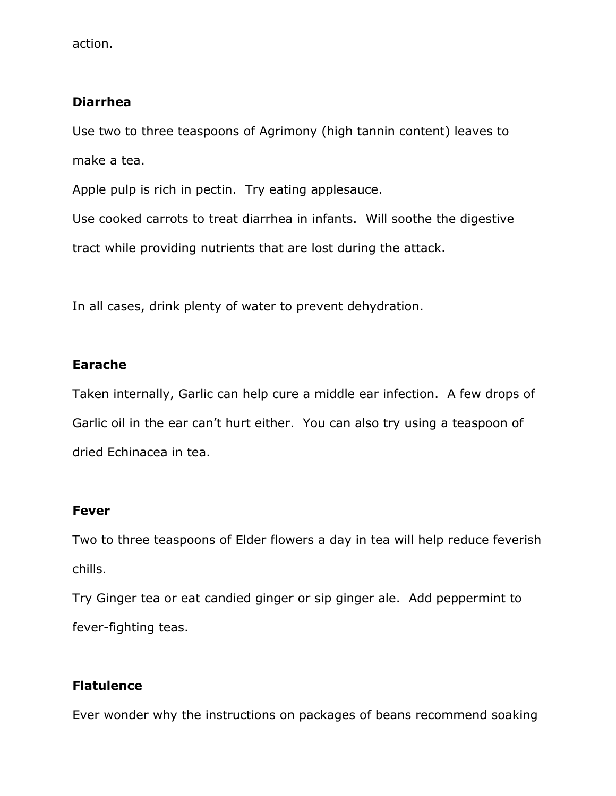action.

### Diarrhea

Use two to three teaspoons of Agrimony (high tannin content) leaves to make a tea.

Apple pulp is rich in pectin. Try eating applesauce.

Use cooked carrots to treat diarrhea in infants. Will soothe the digestive tract while providing nutrients that are lost during the attack.

In all cases, drink plenty of water to prevent dehydration.

### Earache

Taken internally, Garlic can help cure a middle ear infection. A few drops of Garlic oil in the ear can't hurt either. You can also try using a teaspoon of dried Echinacea in tea.

#### Fever

Two to three teaspoons of Elder flowers a day in tea will help reduce feverish chills.

Try Ginger tea or eat candied ginger or sip ginger ale. Add peppermint to fever-fighting teas.

## **Flatulence**

Ever wonder why the instructions on packages of beans recommend soaking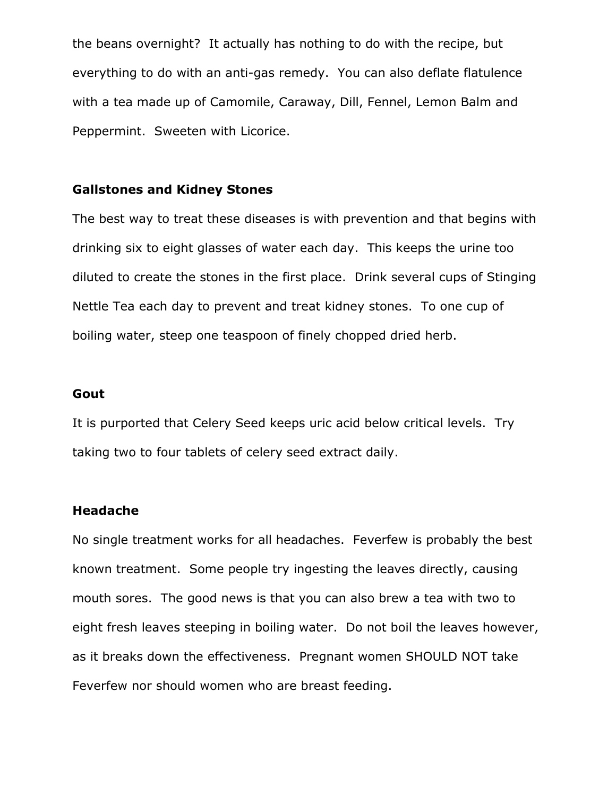the beans overnight? It actually has nothing to do with the recipe, but everything to do with an anti-gas remedy. You can also deflate flatulence with a tea made up of Camomile, Caraway, Dill, Fennel, Lemon Balm and Peppermint. Sweeten with Licorice.

#### Gallstones and Kidney Stones

The best way to treat these diseases is with prevention and that begins with drinking six to eight glasses of water each day. This keeps the urine too diluted to create the stones in the first place. Drink several cups of Stinging Nettle Tea each day to prevent and treat kidney stones. To one cup of boiling water, steep one teaspoon of finely chopped dried herb.

#### Gout

It is purported that Celery Seed keeps uric acid below critical levels. Try taking two to four tablets of celery seed extract daily.

#### Headache

No single treatment works for all headaches. Feverfew is probably the best known treatment. Some people try ingesting the leaves directly, causing mouth sores. The good news is that you can also brew a tea with two to eight fresh leaves steeping in boiling water. Do not boil the leaves however, as it breaks down the effectiveness. Pregnant women SHOULD NOT take Feverfew nor should women who are breast feeding.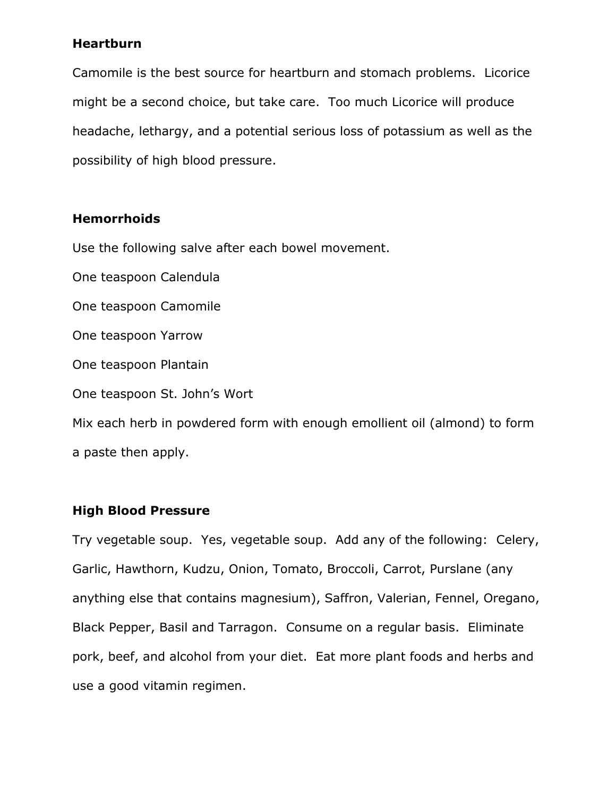#### Heartburn

Camomile is the best source for heartburn and stomach problems. Licorice might be a second choice, but take care. Too much Licorice will produce headache, lethargy, and a potential serious loss of potassium as well as the possibility of high blood pressure.

#### Hemorrhoids

Use the following salve after each bowel movement.

One teaspoon Calendula One teaspoon Camomile One teaspoon Yarrow One teaspoon Plantain One teaspoon St. John's Wort Mix each herb in powdered form with enough emollient oil (almond) to form a paste then apply.

#### High Blood Pressure

Try vegetable soup. Yes, vegetable soup. Add any of the following: Celery, Garlic, Hawthorn, Kudzu, Onion, Tomato, Broccoli, Carrot, Purslane (any anything else that contains magnesium), Saffron, Valerian, Fennel, Oregano, Black Pepper, Basil and Tarragon. Consume on a regular basis. Eliminate pork, beef, and alcohol from your diet. Eat more plant foods and herbs and use a good vitamin regimen.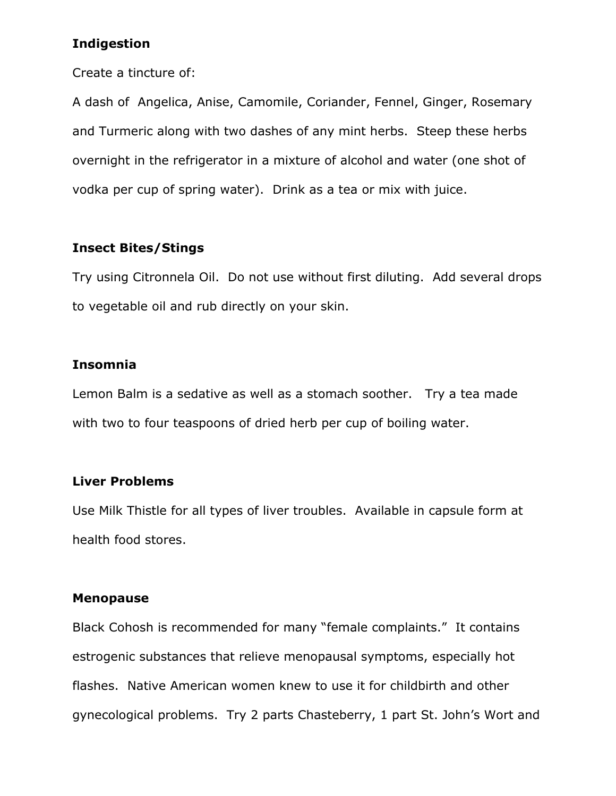#### Indigestion

Create a tincture of:

A dash of Angelica, Anise, Camomile, Coriander, Fennel, Ginger, Rosemary and Turmeric along with two dashes of any mint herbs. Steep these herbs overnight in the refrigerator in a mixture of alcohol and water (one shot of vodka per cup of spring water). Drink as a tea or mix with juice.

### Insect Bites/Stings

Try using Citronnela Oil. Do not use without first diluting. Add several drops to vegetable oil and rub directly on your skin.

### Insomnia

Lemon Balm is a sedative as well as a stomach soother. Try a tea made with two to four teaspoons of dried herb per cup of boiling water.

#### Liver Problems

Use Milk Thistle for all types of liver troubles. Available in capsule form at health food stores.

#### Menopause

Black Cohosh is recommended for many "female complaints." It contains estrogenic substances that relieve menopausal symptoms, especially hot flashes. Native American women knew to use it for childbirth and other gynecological problems. Try 2 parts Chasteberry, 1 part St. John's Wort and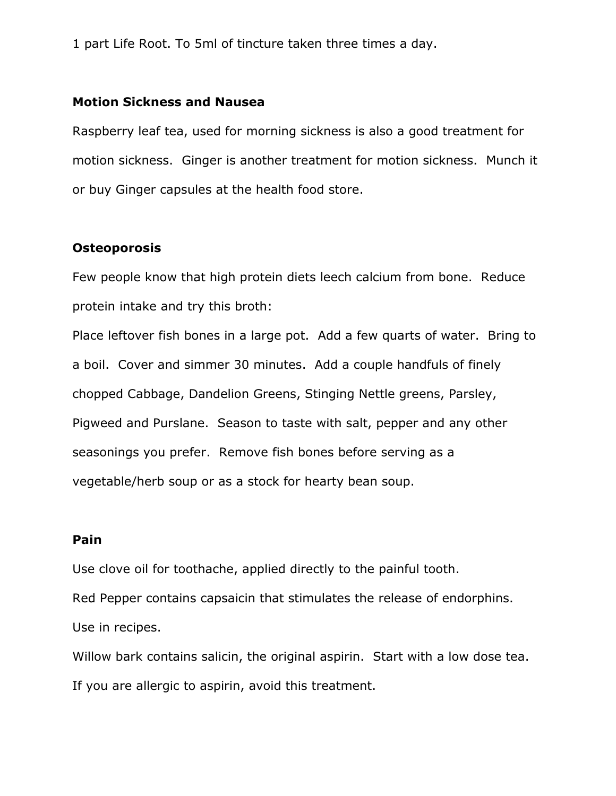1 part Life Root. To 5ml of tincture taken three times a day.

#### Motion Sickness and Nausea

Raspberry leaf tea, used for morning sickness is also a good treatment for motion sickness. Ginger is another treatment for motion sickness. Munch it or buy Ginger capsules at the health food store.

#### **Osteoporosis**

Few people know that high protein diets leech calcium from bone. Reduce protein intake and try this broth:

Place leftover fish bones in a large pot. Add a few quarts of water. Bring to a boil. Cover and simmer 30 minutes. Add a couple handfuls of finely chopped Cabbage, Dandelion Greens, Stinging Nettle greens, Parsley, Pigweed and Purslane. Season to taste with salt, pepper and any other seasonings you prefer. Remove fish bones before serving as a vegetable/herb soup or as a stock for hearty bean soup.

#### Pain

Use clove oil for toothache, applied directly to the painful tooth.

Red Pepper contains capsaicin that stimulates the release of endorphins. Use in recipes.

Willow bark contains salicin, the original aspirin. Start with a low dose tea. If you are allergic to aspirin, avoid this treatment.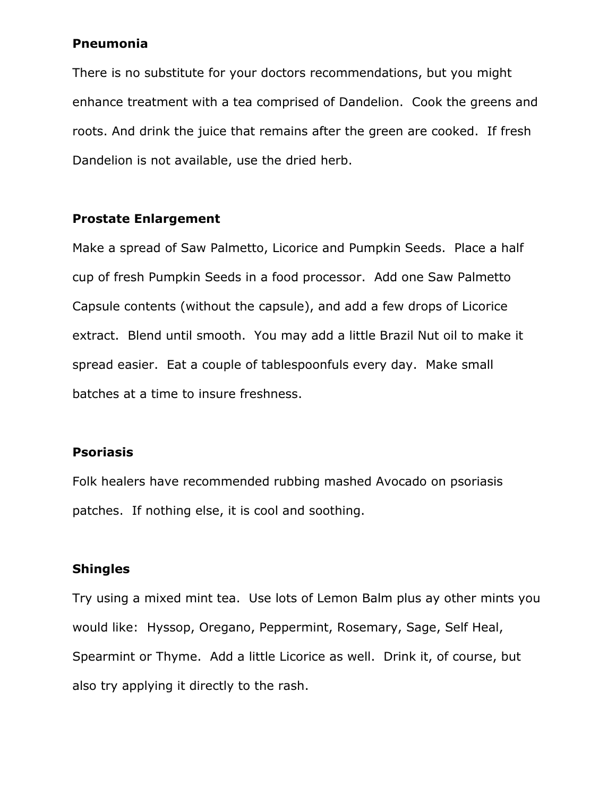#### Pneumonia

There is no substitute for your doctors recommendations, but you might enhance treatment with a tea comprised of Dandelion. Cook the greens and roots. And drink the juice that remains after the green are cooked. If fresh Dandelion is not available, use the dried herb.

#### Prostate Enlargement

Make a spread of Saw Palmetto, Licorice and Pumpkin Seeds. Place a half cup of fresh Pumpkin Seeds in a food processor. Add one Saw Palmetto Capsule contents (without the capsule), and add a few drops of Licorice extract. Blend until smooth. You may add a little Brazil Nut oil to make it spread easier. Eat a couple of tablespoonfuls every day. Make small batches at a time to insure freshness.

#### Psoriasis

Folk healers have recommended rubbing mashed Avocado on psoriasis patches. If nothing else, it is cool and soothing.

#### Shingles

Try using a mixed mint tea. Use lots of Lemon Balm plus ay other mints you would like: Hyssop, Oregano, Peppermint, Rosemary, Sage, Self Heal, Spearmint or Thyme. Add a little Licorice as well. Drink it, of course, but also try applying it directly to the rash.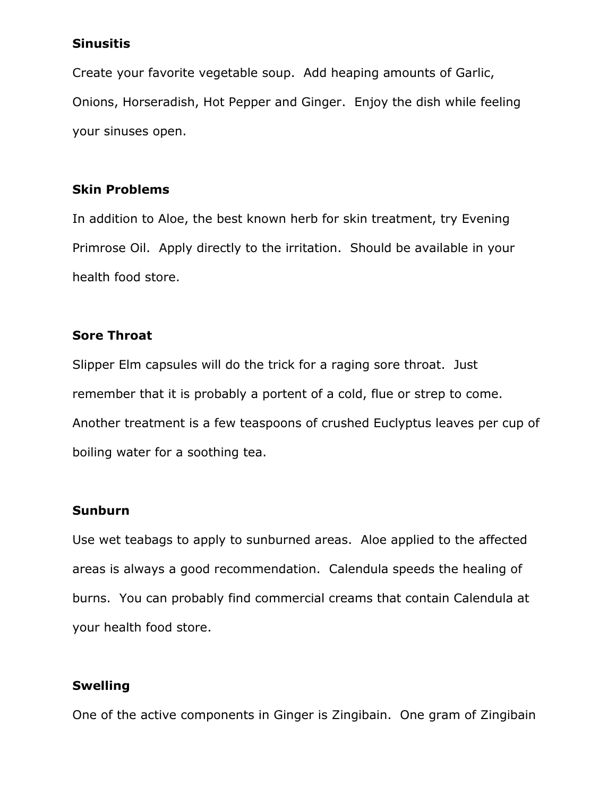#### Sinusitis

Create your favorite vegetable soup. Add heaping amounts of Garlic, Onions, Horseradish, Hot Pepper and Ginger. Enjoy the dish while feeling your sinuses open.

#### Skin Problems

In addition to Aloe, the best known herb for skin treatment, try Evening Primrose Oil. Apply directly to the irritation. Should be available in your health food store.

### Sore Throat

Slipper Elm capsules will do the trick for a raging sore throat. Just remember that it is probably a portent of a cold, flue or strep to come. Another treatment is a few teaspoons of crushed Euclyptus leaves per cup of boiling water for a soothing tea.

#### Sunburn

Use wet teabags to apply to sunburned areas. Aloe applied to the affected areas is always a good recommendation. Calendula speeds the healing of burns. You can probably find commercial creams that contain Calendula at your health food store.

#### Swelling

One of the active components in Ginger is Zingibain. One gram of Zingibain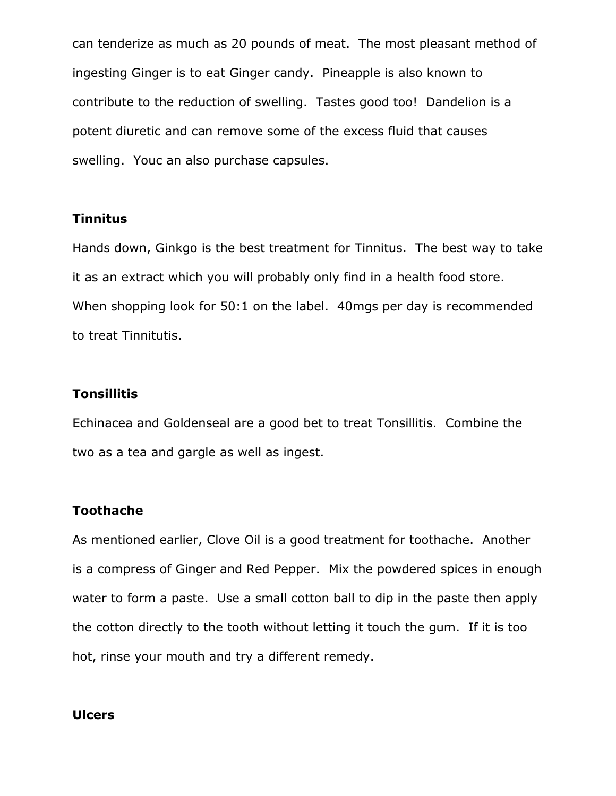can tenderize as much as 20 pounds of meat. The most pleasant method of ingesting Ginger is to eat Ginger candy. Pineapple is also known to contribute to the reduction of swelling. Tastes good too! Dandelion is a potent diuretic and can remove some of the excess fluid that causes swelling. Youc an also purchase capsules.

#### Tinnitus

Hands down, Ginkgo is the best treatment for Tinnitus. The best way to take it as an extract which you will probably only find in a health food store. When shopping look for 50:1 on the label. 40mgs per day is recommended to treat Tinnitutis.

#### **Tonsillitis**

Echinacea and Goldenseal are a good bet to treat Tonsillitis. Combine the two as a tea and gargle as well as ingest.

#### Toothache

As mentioned earlier, Clove Oil is a good treatment for toothache. Another is a compress of Ginger and Red Pepper. Mix the powdered spices in enough water to form a paste. Use a small cotton ball to dip in the paste then apply the cotton directly to the tooth without letting it touch the gum. If it is too hot, rinse your mouth and try a different remedy.

#### Ulcers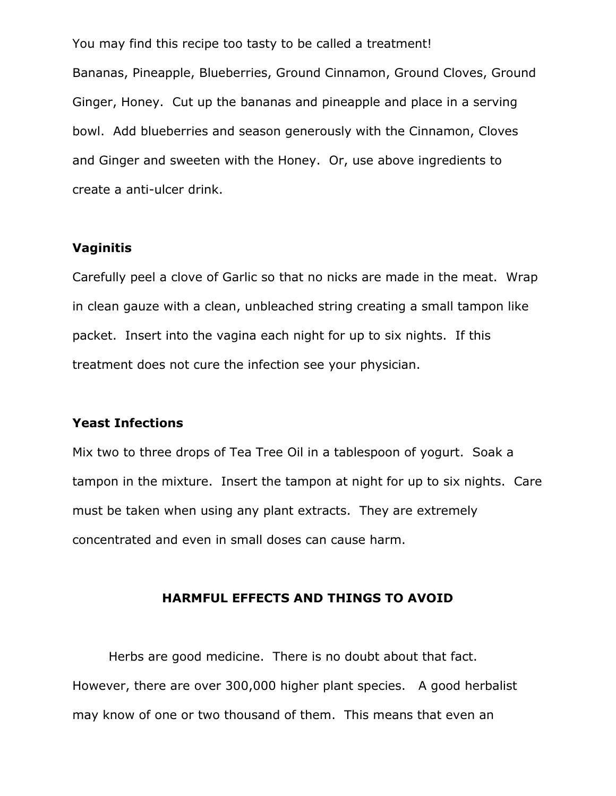You may find this recipe too tasty to be called a treatment! Bananas, Pineapple, Blueberries, Ground Cinnamon, Ground Cloves, Ground Ginger, Honey. Cut up the bananas and pineapple and place in a serving bowl. Add blueberries and season generously with the Cinnamon, Cloves and Ginger and sweeten with the Honey. Or, use above ingredients to create a anti-ulcer drink.

#### Vaginitis

Carefully peel a clove of Garlic so that no nicks are made in the meat. Wrap in clean gauze with a clean, unbleached string creating a small tampon like packet. Insert into the vagina each night for up to six nights. If this treatment does not cure the infection see your physician.

#### Yeast Infections

Mix two to three drops of Tea Tree Oil in a tablespoon of yogurt. Soak a tampon in the mixture. Insert the tampon at night for up to six nights. Care must be taken when using any plant extracts. They are extremely concentrated and even in small doses can cause harm.

#### HARMFUL EFFECTS AND THINGS TO AVOID

Herbs are good medicine. There is no doubt about that fact. However, there are over 300,000 higher plant species. A good herbalist may know of one or two thousand of them. This means that even an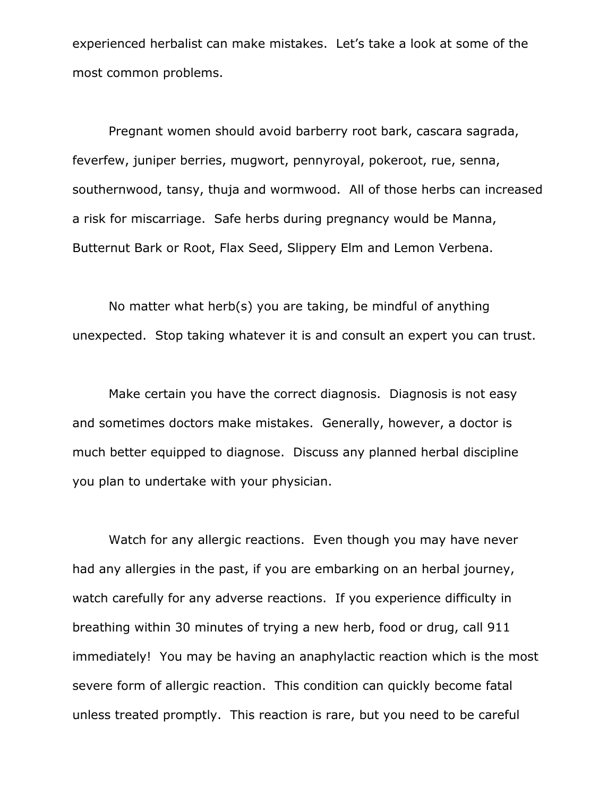experienced herbalist can make mistakes. Let's take a look at some of the most common problems.

Pregnant women should avoid barberry root bark, cascara sagrada, feverfew, juniper berries, mugwort, pennyroyal, pokeroot, rue, senna, southernwood, tansy, thuja and wormwood. All of those herbs can increased a risk for miscarriage. Safe herbs during pregnancy would be Manna, Butternut Bark or Root, Flax Seed, Slippery Elm and Lemon Verbena.

No matter what herb(s) you are taking, be mindful of anything unexpected. Stop taking whatever it is and consult an expert you can trust.

Make certain you have the correct diagnosis. Diagnosis is not easy and sometimes doctors make mistakes. Generally, however, a doctor is much better equipped to diagnose. Discuss any planned herbal discipline you plan to undertake with your physician.

Watch for any allergic reactions. Even though you may have never had any allergies in the past, if you are embarking on an herbal journey, watch carefully for any adverse reactions. If you experience difficulty in breathing within 30 minutes of trying a new herb, food or drug, call 911 immediately! You may be having an anaphylactic reaction which is the most severe form of allergic reaction. This condition can quickly become fatal unless treated promptly. This reaction is rare, but you need to be careful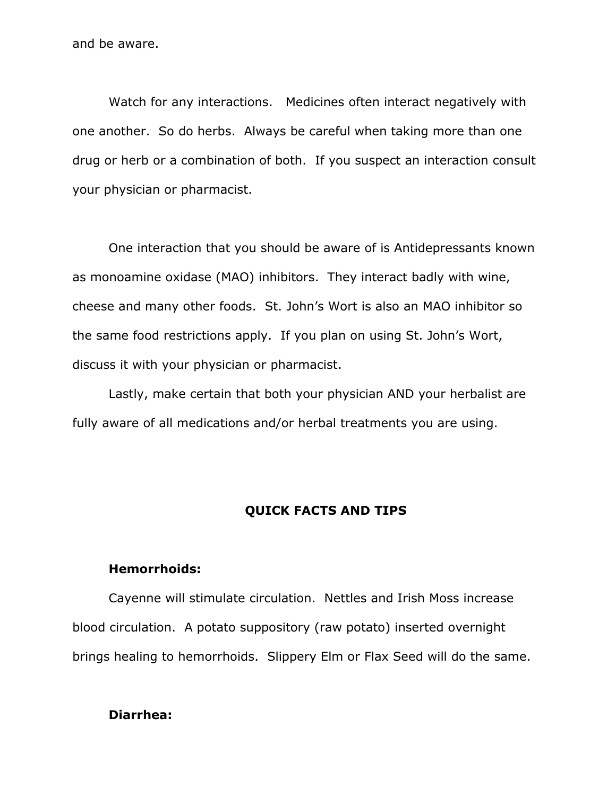and be aware.

Watch for any interactions. Medicines often interact negatively with one another. So do herbs. Always be careful when taking more than one drug or herb or a combination of both. If you suspect an interaction consult your physician or pharmacist.

One interaction that you should be aware of is Antidepressants known as monoamine oxidase (MAO) inhibitors. They interact badly with wine, cheese and many other foods. St. John's Wort is also an MAO inhibitor so the same food restrictions apply. If you plan on using St. John's Wort, discuss it with your physician or pharmacist.

Lastly, make certain that both your physician AND your herbalist are fully aware of all medications and/or herbal treatments you are using.

#### QUICK FACTS AND TIPS

#### Hemorrhoids:

Cayenne will stimulate circulation. Nettles and Irish Moss increase blood circulation. A potato suppository (raw potato) inserted overnight brings healing to hemorrhoids. Slippery Elm or Flax Seed will do the same.

#### Diarrhea: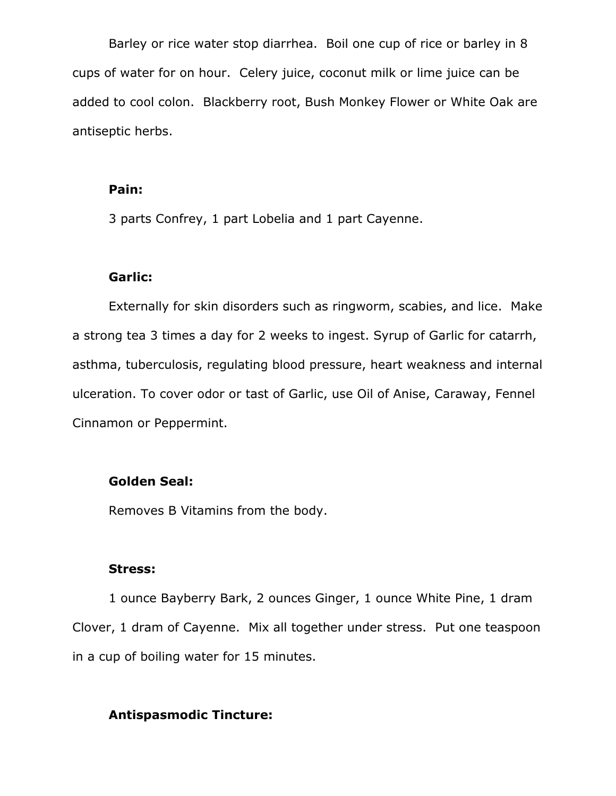Barley or rice water stop diarrhea. Boil one cup of rice or barley in 8 cups of water for on hour. Celery juice, coconut milk or lime juice can be added to cool colon. Blackberry root, Bush Monkey Flower or White Oak are antiseptic herbs.

#### Pain:

3 parts Confrey, 1 part Lobelia and 1 part Cayenne.

#### Garlic:

Externally for skin disorders such as ringworm, scabies, and lice. Make a strong tea 3 times a day for 2 weeks to ingest. Syrup of Garlic for catarrh, asthma, tuberculosis, regulating blood pressure, heart weakness and internal ulceration. To cover odor or tast of Garlic, use Oil of Anise, Caraway, Fennel Cinnamon or Peppermint.

#### Golden Seal:

Removes B Vitamins from the body.

#### Stress:

1 ounce Bayberry Bark, 2 ounces Ginger, 1 ounce White Pine, 1 dram Clover, 1 dram of Cayenne. Mix all together under stress. Put one teaspoon in a cup of boiling water for 15 minutes.

#### Antispasmodic Tincture: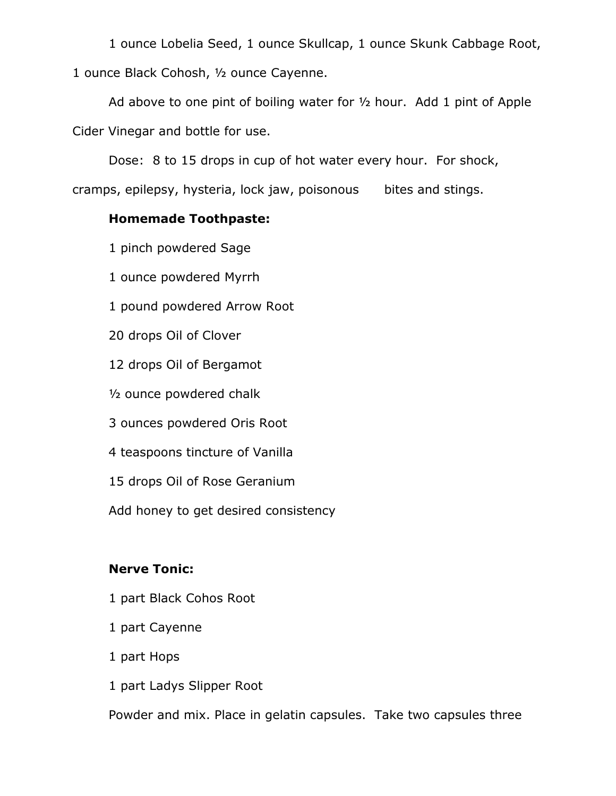1 ounce Lobelia Seed, 1 ounce Skullcap, 1 ounce Skunk Cabbage Root, 1 ounce Black Cohosh, ½ ounce Cayenne.

Ad above to one pint of boiling water for ½ hour. Add 1 pint of Apple Cider Vinegar and bottle for use.

Dose: 8 to 15 drops in cup of hot water every hour. For shock,

cramps, epilepsy, hysteria, lock jaw, poisonous bites and stings.

## Homemade Toothpaste:

1 pinch powdered Sage

1 ounce powdered Myrrh

1 pound powdered Arrow Root

20 drops Oil of Clover

12 drops Oil of Bergamot

½ ounce powdered chalk

3 ounces powdered Oris Root

4 teaspoons tincture of Vanilla

15 drops Oil of Rose Geranium

Add honey to get desired consistency

## Nerve Tonic:

- 1 part Black Cohos Root
- 1 part Cayenne
- 1 part Hops
- 1 part Ladys Slipper Root

Powder and mix. Place in gelatin capsules. Take two capsules three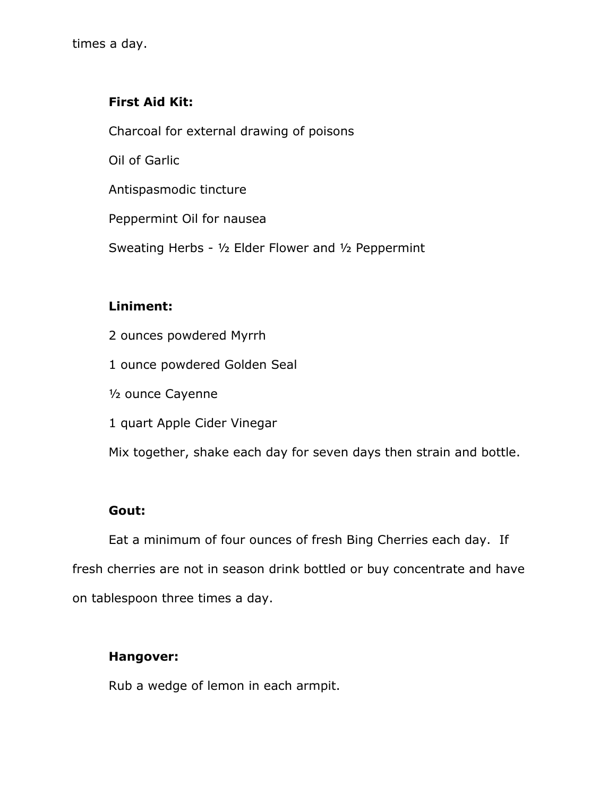## First Aid Kit:

Charcoal for external drawing of poisons

Oil of Garlic

Antispasmodic tincture

Peppermint Oil for nausea

Sweating Herbs - ½ Elder Flower and ½ Peppermint

## Liniment:

- 2 ounces powdered Myrrh
- 1 ounce powdered Golden Seal
- ½ ounce Cayenne
- 1 quart Apple Cider Vinegar

Mix together, shake each day for seven days then strain and bottle.

#### Gout:

Eat a minimum of four ounces of fresh Bing Cherries each day. If fresh cherries are not in season drink bottled or buy concentrate and have on tablespoon three times a day.

#### Hangover:

Rub a wedge of lemon in each armpit.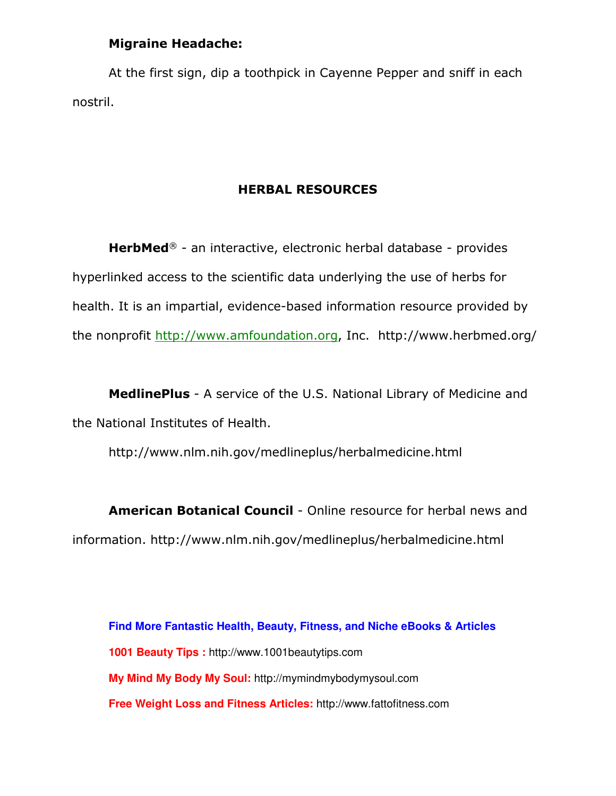### Migraine Headache:

At the first sign, dip a toothpick in Cayenne Pepper and sniff in each nostril.

#### HERBAL RESOURCES

HerbMed® - an interactive, electronic herbal database - provides hyperlinked access to the scientific data underlying the use of herbs for health. It is an impartial, evidence-based information resource provided by the nonprofit http://www.amfoundation.org, Inc. http://www.herbmed.org/

MedlinePlus - A service of the U.S. National Library of Medicine and the National Institutes of Health.

http://www.nlm.nih.gov/medlineplus/herbalmedicine.html

American Botanical Council - Online resource for herbal news and information. http://www.nlm.nih.gov/medlineplus/herbalmedicine.html

**Find More Fantastic Health, Beauty, Fitness, and Niche eBooks & Articles 1001 Beauty Tips :** http://www.1001beautytips.com **My Mind My Body My Soul:** http://mymindmybodymysoul.com **Free Weight Loss and Fitness Articles:** http://www.fattofitness.com